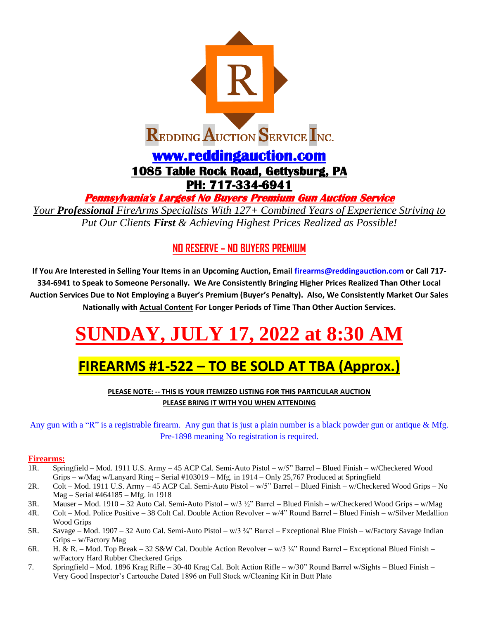

**Pennsylvania's Largest No Buyers Premium Gun Auction Service** 

*Your Professional FireArms Specialists With 127+ Combined Years of Experience Striving to Put Our Clients First & Achieving Highest Prices Realized as Possible!*

### **NO RESERVE – NO BUYERS PREMIUM**

**If You Are Interested in Selling Your Items in an Upcoming Auction, Email [firearms@reddingauction.com](mailto:firearms@reddingauction.com) or Call 717- 334-6941 to Speak to Someone Personally. We Are Consistently Bringing Higher Prices Realized Than Other Local Auction Services Due to Not Employing a Buyer's Premium (Buyer's Penalty). Also, We Consistently Market Our Sales Nationally with Actual Content For Longer Periods of Time Than Other Auction Services.**

# **SUNDAY, JULY 17, 2022 at 8:30 AM**

## **FIREARMS #1-522 – TO BE SOLD AT TBA (Approx.)**

**PLEASE NOTE: -- THIS IS YOUR ITEMIZED LISTING FOR THIS PARTICULAR AUCTION PLEASE BRING IT WITH YOU WHEN ATTENDING**

Any gun with a "R" is a registrable firearm. Any gun that is just a plain number is a black powder gun or antique & Mfg. Pre-1898 meaning No registration is required.

#### **Firearms:**

- 1R. Springfield Mod. 1911 U.S. Army 45 ACP Cal. Semi-Auto Pistol w/5" Barrel Blued Finish w/Checkered Wood Grips – w/Mag w/Lanyard Ring – Serial #103019 – Mfg. in 1914 – Only 25,767 Produced at Springfield
- 2R. Colt Mod. 1911 U.S. Army 45 ACP Cal. Semi-Auto Pistol w/5" Barrel Blued Finish w/Checkered Wood Grips No Mag – Serial #464185 – Mfg. in 1918
- 3R. Mauser Mod. 1910 32 Auto Cal. Semi-Auto Pistol w/3 ½" Barrel Blued Finish w/Checkered Wood Grips w/Mag
- 4R. Colt Mod. Police Positive 38 Colt Cal. Double Action Revolver w/4" Round Barrel Blued Finish w/Silver Medallion Wood Grips
- 5R. Savage Mod. 1907 32 Auto Cal. Semi-Auto Pistol w/3 ¾" Barrel Exceptional Blue Finish w/Factory Savage Indian Grips – w/Factory Mag
- 6R. H. & R. Mod. Top Break 32 S&W Cal. Double Action Revolver w/3 ¼" Round Barrel Exceptional Blued Finish w/Factory Hard Rubber Checkered Grips
- 7. Springfield Mod. 1896 Krag Rifle 30-40 Krag Cal. Bolt Action Rifle w/30" Round Barrel w/Sights Blued Finish Very Good Inspector's Cartouche Dated 1896 on Full Stock w/Cleaning Kit in Butt Plate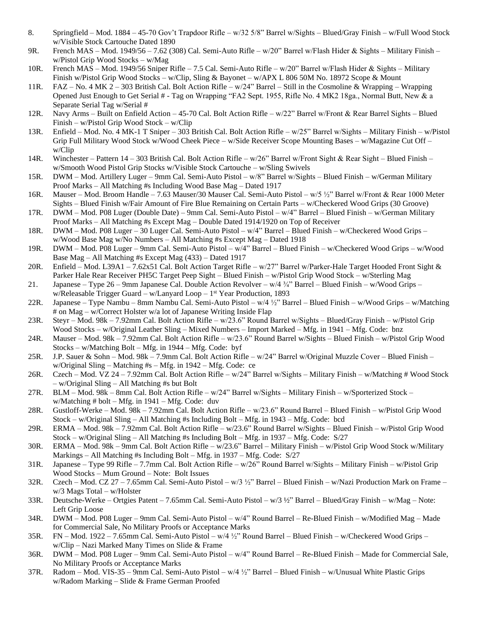- 8. Springfield Mod. 1884 45-70 Gov't Trapdoor Rifle w/32 5/8" Barrel w/Sights Blued/Gray Finish w/Full Wood Stock w/Visible Stock Cartouche Dated 1890
- 9R. French MAS Mod. 1949/56 7.62 (308) Cal. Semi-Auto Rifle w/20" Barrel w/Flash Hider & Sights Military Finish w/Pistol Grip Wood Stocks – w/Mag
- 10R. French MAS Mod. 1949/56 Sniper Rifle 7.5 Cal. Semi-Auto Rifle w/20" Barrel w/Flash Hider & Sights Military Finish w/Pistol Grip Wood Stocks – w/Clip, Sling & Bayonet – w/APX L 806 50M No. 18972 Scope & Mount
- 11R. FAZ No. 4 MK 2 303 British Cal. Bolt Action Rifle w/24" Barrel Still in the Cosmoline & Wrapping Wrapping Opened Just Enough to Get Serial # - Tag on Wrapping "FA2 Sept. 1955, Rifle No. 4 MK2 18ga., Normal Butt, New & a Separate Serial Tag w/Serial #
- 12R. Navy Arms Built on Enfield Action 45-70 Cal. Bolt Action Rifle w/22" Barrel w/Front & Rear Barrel Sights Blued Finish – w/Pistol Grip Wood Stock – w/Clip
- 13R. Enfield Mod. No. 4 MK-1 T Sniper 303 British Cal. Bolt Action Rifle w/25" Barrel w/Sights Military Finish w/Pistol Grip Full Military Wood Stock w/Wood Cheek Piece – w/Side Receiver Scope Mounting Bases – w/Magazine Cut Off – w/Clip
- 14R. Winchester Pattern 14 303 British Cal. Bolt Action Rifle w/26" Barrel w/Front Sight & Rear Sight Blued Finish w/Smooth Wood Pistol Grip Stocks w/Visible Stock Cartouche – w/Sling Swivels
- 15R. DWM Mod. Artillery Luger 9mm Cal. Semi-Auto Pistol w/8" Barrel w/Sights Blued Finish w/German Military Proof Marks – All Matching #s Including Wood Base Mag – Dated 1917
- 16R. Mauser Mod. Broom Handle 7.63 Mauser/30 Mauser Cal. Semi-Auto Pistol w/5 ½" Barrel w/Front & Rear 1000 Meter Sights – Blued Finish w/Fair Amount of Fire Blue Remaining on Certain Parts – w/Checkered Wood Grips (30 Groove)
- 17R. DWM Mod. P08 Luger (Double Date) 9mm Cal. Semi-Auto Pistol w/4" Barrel Blued Finish w/German Military Proof Marks – All Matching #s Except Mag – Double Dated 1914/1920 on Top of Receiver
- 18R. DWM Mod. P08 Luger 30 Luger Cal. Semi-Auto Pistol w/4" Barrel Blued Finish w/Checkered Wood Grips w/Wood Base Mag w/No Numbers – All Matching #s Except Mag – Dated 1918
- 19R. DWM Mod. P08 Luger 9mm Cal. Semi-Auto Pistol w/4" Barrel Blued Finish w/Checkered Wood Grips w/Wood Base Mag – All Matching #s Except Mag (433) – Dated 1917
- 20R. Enfield Mod. L39A1 7.62x51 Cal. Bolt Action Target Rifle w/27" Barrel w/Parker-Hale Target Hooded Front Sight & Parker Hale Rear Receiver PH5C Target Peep Sight – Blued Finish – w/Pistol Grip Wood Stock – w/Sterling Mag
- 21. Japanese Type 26 9mm Japanese Cal. Double Action Revolver w/4 ¾" Barrel Blued Finish w/Wood Grips w/Releasable Trigger Guard - w/Lanyard Loop - 1<sup>st</sup> Year Production, 1893
- 22R. Japanese Type Nambu 8mm Nambu Cal. Semi-Auto Pistol w/4 ½" Barrel Blued Finish w/Wood Grips w/Matching # on Mag – w/Correct Holster w/a lot of Japanese Writing Inside Flap
- 23R. Steyr Mod. 98k 7.92mm Cal. Bolt Action Rifle w/23.6" Round Barrel w/Sights Blued/Gray Finish w/Pistol Grip Wood Stocks – w/Original Leather Sling – Mixed Numbers – Import Marked – Mfg. in 1941 – Mfg. Code: bnz
- 24R. Mauser Mod. 98k 7.92mm Cal. Bolt Action Rifle w/23.6" Round Barrel w/Sights Blued Finish w/Pistol Grip Wood Stocks – w/Matching Bolt – Mfg. in 1944 – Mfg. Code: byf
- 25R. J.P. Sauer & Sohn Mod. 98k 7.9mm Cal. Bolt Action Rifle w/24" Barrel w/Original Muzzle Cover Blued Finish w/Original Sling – Matching #s – Mfg. in 1942 – Mfg. Code: ce
- 26R. Czech Mod. VZ 24 7.92mm Cal. Bolt Action Rifle w/24" Barrel w/Sights Military Finish w/Matching # Wood Stock – w/Original Sling – All Matching #s but Bolt
- 27R. BLM Mod. 98k 8mm Cal. Bolt Action Rifle w/24" Barrel w/Sights Military Finish w/Sporterized Stock w/Matching  $# \text{ bolt} - \text{Mfg.}$  in 1941 – Mfg. Code: duv
- 28R. Gustloff-Werke Mod. 98k 7.92mm Cal. Bolt Action Rifle w/23.6" Round Barrel Blued Finish w/Pistol Grip Wood Stock – w/Original Sling – All Matching #s Including Bolt – Mfg. in 1943 – Mfg. Code: bcd
- 29R. ERMA Mod. 98k 7.92mm Cal. Bolt Action Rifle w/23.6" Round Barrel w/Sights Blued Finish w/Pistol Grip Wood Stock – w/Original Sling – All Matching #s Including Bolt – Mfg. in 1937 – Mfg. Code: S/27
- 30R. ERMA Mod. 98k 9mm Cal. Bolt Action Rifle w/23.6" Barrel Military Finish w/Pistol Grip Wood Stock w/Military Markings – All Matching #s Including Bolt – Mfg. in 1937 – Mfg. Code: S/27
- 31R. Japanese Type 99 Rifle 7.7mm Cal. Bolt Action Rifle w/26" Round Barrel w/Sights Military Finish w/Pistol Grip Wood Stocks – Mum Ground – Note: Bolt Issues
- 32R. Czech Mod. CZ 27 7.65mm Cal. Semi-Auto Pistol w/3 ½" Barrel Blued Finish w/Nazi Production Mark on Frame w/3 Mags Total – w/Holster
- 33R. Deutsche-Werke Ortgies Patent 7.65mm Cal. Semi-Auto Pistol w/3 ½" Barrel Blued/Gray Finish w/Mag Note: Left Grip Loose
- 34R. DWM Mod. P08 Luger 9mm Cal. Semi-Auto Pistol w/4" Round Barrel Re-Blued Finish w/Modified Mag Made for Commercial Sale, No Military Proofs or Acceptance Marks
- 35R. FN Mod. 1922 7.65mm Cal. Semi-Auto Pistol w/4 ½" Round Barrel Blued Finish w/Checkered Wood Grips w/Clip – Nazi Marked Many Times on Slide & Frame
- 36R. DWM Mod. P08 Luger 9mm Cal. Semi-Auto Pistol w/4" Round Barrel Re-Blued Finish Made for Commercial Sale, No Military Proofs or Acceptance Marks
- 37R. Radom Mod. VIS-35 9mm Cal. Semi-Auto Pistol w/4 ½" Barrel Blued Finish w/Unusual White Plastic Grips w/Radom Marking – Slide & Frame German Proofed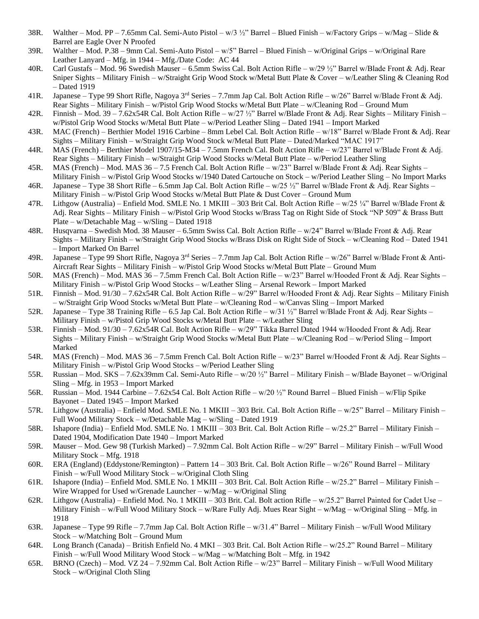- 38R. Walther Mod. PP 7.65mm Cal. Semi-Auto Pistol w/3  $\frac{1}{2}$ " Barrel Blued Finish w/Factory Grips w/Mag Slide & Barrel are Eagle Over N Proofed
- 39R. Walther Mod. P.38 9mm Cal. Semi-Auto Pistol w/5" Barrel Blued Finish w/Original Grips w/Original Rare Leather Lanyard – Mfg. in 1944 – Mfg./Date Code: AC 44
- 40R. Carl Gustafs Mod. 96 Swedish Mauser 6.5mm Swiss Cal. Bolt Action Rifle w/29 ½" Barrel w/Blade Front & Adj. Rear Sniper Sights – Military Finish – w/Straight Grip Wood Stock w/Metal Butt Plate & Cover – w/Leather Sling & Cleaning Rod – Dated 1919
- 41R. Japanese Type 99 Short Rifle, Nagoya 3rd Series 7.7mm Jap Cal. Bolt Action Rifle w/26" Barrel w/Blade Front & Adj. Rear Sights – Military Finish – w/Pistol Grip Wood Stocks w/Metal Butt Plate – w/Cleaning Rod – Ground Mum
- 42R. Finnish Mod. 39 7.62x54R Cal. Bolt Action Rifle w/27 ½" Barrel w/Blade Front & Adj. Rear Sights Military Finish w/Pistol Grip Wood Stocks w/Metal Butt Plate – w/Period Leather Sling – Dated 1941 – Import Marked
- 43R. MAC (French) Berthier Model 1916 Carbine 8mm Lebel Cal. Bolt Action Rifle w/18" Barrel w/Blade Front & Adj. Rear Sights – Military Finish – w/Straight Grip Wood Stock w/Metal Butt Plate – Dated/Marked "MAC 1917"
- 44R. MAS (French) Berthier Model 1907/15-M34 7.5mm French Cal. Bolt Action Rifle w/23" Barrel w/Blade Front & Adj. Rear Sights – Military Finish – w/Straight Grip Wood Stocks w/Metal Butt Plate – w/Period Leather Sling
- 45R. MAS (French) Mod. MAS 36 7.5 French Cal. Bolt Action Rifle w/23" Barrel w/Blade Front & Adj. Rear Sights Military Finish – w/Pistol Grip Wood Stocks w/1940 Dated Cartouche on Stock – w/Period Leather Sling – No Import Marks
- 46R. Japanese Type 38 Short Rifle 6.5mm Jap Cal. Bolt Action Rifle w/25 ½" Barrel w/Blade Front & Adj. Rear Sights Military Finish – w/Pistol Grip Wood Stocks w/Metal Butt Plate & Dust Cover – Ground Mum
- 47R. Lithgow (Australia) Enfield Mod. SMLE No. 1 MKIII 303 Brit Cal. Bolt Action Rifle w/25 ¼" Barrel w/Blade Front & Adj. Rear Sights – Military Finish – w/Pistol Grip Wood Stocks w/Brass Tag on Right Side of Stock "NP 509" & Brass Butt Plate – w/Detachable Mag – w/Sling – Dated 1918
- 48R. Husqvarna Swedish Mod. 38 Mauser 6.5mm Swiss Cal. Bolt Action Rifle w/24" Barrel w/Blade Front & Adj. Rear Sights – Military Finish – w/Straight Grip Wood Stocks w/Brass Disk on Right Side of Stock – w/Cleaning Rod – Dated 1941 – Import Marked On Barrel
- 49R. Japanese Type 99 Short Rifle, Nagoya 3<sup>rd</sup> Series 7.7mm Jap Cal. Bolt Action Rifle w/26" Barrel w/Blade Front & Anti-Aircraft Rear Sights – Military Finish – w/Pistol Grip Wood Stocks w/Metal Butt Plate – Ground Mum
- 50R. MAS (French) Mod. MAS 36 7.5mm French Cal. Bolt Action Rifle w/23" Barrel w/Hooded Front & Adj. Rear Sights Military Finish – w/Pistol Grip Wood Stocks – w/Leather Sling – Arsenal Rework – Import Marked
- 51R. Finnish Mod. 91/30 7.62x54R Cal. Bolt Action Rifle w/29" Barrel w/Hooded Front & Adj. Rear Sights Military Finish – w/Straight Grip Wood Stocks w/Metal Butt Plate – w/Cleaning Rod – w/Canvas Sling – Import Marked
- 52R. Japanese Type 38 Training Rifle 6.5 Jap Cal. Bolt Action Rifle w/31 ½" Barrel w/Blade Front & Adj. Rear Sights Military Finish – w/Pistol Grip Wood Stocks w/Metal Butt Plate – w/Leather Sling
- 53R. Finnish Mod. 91/30 7.62x54R Cal. Bolt Action Rifle w/29" Tikka Barrel Dated 1944 w/Hooded Front & Adj. Rear Sights – Military Finish – w/Straight Grip Wood Stocks w/Metal Butt Plate – w/Cleaning Rod – w/Period Sling – Import Marked
- 54R. MAS (French) Mod. MAS 36 7.5mm French Cal. Bolt Action Rifle w/23" Barrel w/Hooded Front & Adj. Rear Sights Military Finish – w/Pistol Grip Wood Stocks – w/Period Leather Sling
- 55R. Russian Mod. SKS 7.62x39mm Cal. Semi-Auto Rifle w/20 ½" Barrel Military Finish w/Blade Bayonet w/Original Sling – Mfg. in 1953 – Import Marked
- 56R. Russian Mod. 1944 Carbine 7.62x54 Cal. Bolt Action Rifle w/20 ½" Round Barrel Blued Finish w/Flip Spike Bayonet – Dated 1945 – Import Marked
- 57R. Lithgow (Australia) Enfield Mod. SMLE No. 1 MKIII 303 Brit. Cal. Bolt Action Rifle w/25" Barrel Military Finish Full Wood Military Stock – w/Detachable Mag – w/Sling – Dated 1919
- 58R. Ishapore (India) Enfield Mod. SMLE No. 1 MKIII 303 Brit. Cal. Bolt Action Rifle w/25.2" Barrel Military Finish Dated 1904, Modification Date 1940 – Import Marked
- 59R. Mauser Mod. Gew 98 (Turkish Marked) 7.92mm Cal. Bolt Action Rifle w/29" Barrel Military Finish w/Full Wood Military Stock – Mfg. 1918
- 60R. ERA (England) (Eddystone/Remington) Pattern 14 303 Brit. Cal. Bolt Action Rifle w/26" Round Barrel Military Finish – w/Full Wood Military Stock – w/Original Cloth Sling
- 61R. Ishapore (India) Enfield Mod. SMLE No. 1 MKIII 303 Brit. Cal. Bolt Action Rifle w/25.2" Barrel Military Finish Wire Wrapped for Used w/Grenade Launcher – w/Mag – w/Original Sling
- 62R. Lithgow (Australia) Enfield Mod. No. 1 MKIII 303 Brit. Cal. Bolt action Rifle w/25.2" Barrel Painted for Cadet Use Military Finish – w/Full Wood Military Stock – w/Rare Fully Adj. Mues Rear Sight – w/Mag – w/Original Sling – Mfg. in 1918
- 63R. Japanese Type 99 Rifle 7.7mm Jap Cal. Bolt Action Rifle w/31.4" Barrel Military Finish w/Full Wood Military Stock – w/Matching Bolt – Ground Mum
- 64R. Long Branch (Canada) British Enfield No. 4 MKI 303 Brit. Cal. Bolt Action Rifle w/25.2" Round Barrel Military Finish – w/Full Wood Military Wood Stock – w/Mag – w/Matching Bolt – Mfg. in 1942
- 65R. BRNO (Czech) Mod. VZ 24 7.92mm Cal. Bolt Action Rifle w/23" Barrel Military Finish w/Full Wood Military Stock – w/Original Cloth Sling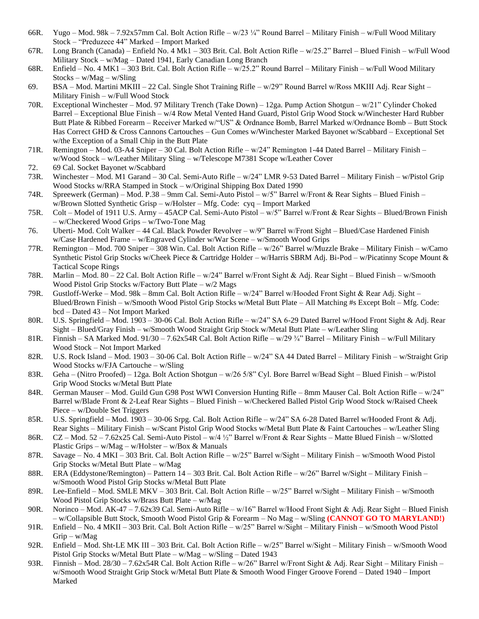- 66R. Yugo Mod. 98k 7.92x57mm Cal. Bolt Action Rifle w/23 ¼" Round Barrel Military Finish w/Full Wood Military Stock – "Preduzece 44" Marked – Import Marked
- 67R. Long Branch (Canada) Enfield No. 4 Mk1 303 Brit. Cal. Bolt Action Rifle w/25.2" Barrel Blued Finish w/Full Wood Military Stock – w/Mag – Dated 1941, Early Canadian Long Branch
- 68R. Enfield No. 4 MK1 303 Brit. Cal. Bolt Action Rifle w/25.2" Round Barrel Military Finish w/Full Wood Military Stocks – w/Mag – w/Sling
- 69. BSA Mod. Martini MKIII 22 Cal. Single Shot Training Rifle w/29" Round Barrel w/Ross MKIII Adj. Rear Sight Military Finish – w/Full Wood Stock
- 70R. Exceptional Winchester Mod. 97 Military Trench (Take Down) 12ga. Pump Action Shotgun w/21" Cylinder Choked Barrel – Exceptional Blue Finish – w/4 Row Metal Vented Hand Guard, Pistol Grip Wood Stock w/Winchester Hard Rubber Butt Plate & Ribbed Forearm – Receiver Marked w/"US" & Ordnance Bomb, Barrel Marked w/Ordnance Bomb – Butt Stock Has Correct GHD & Cross Cannons Cartouches – Gun Comes w/Winchester Marked Bayonet w/Scabbard – Exceptional Set w/the Exception of a Small Chip in the Butt Plate
- 71R. Remington Mod. 03-A4 Sniper 30 Cal. Bolt Action Rifle w/24" Remington 1-44 Dated Barrel Military Finish w/Wood Stock – w/Leather Military Sling – w/Telescope M7381 Scope w/Leather Cover
- 72. 69 Cal. Socket Bayonet w/Scabbard
- 73R. Winchester Mod. M1 Garand 30 Cal. Semi-Auto Rifle w/24" LMR 9-53 Dated Barrel Military Finish w/Pistol Grip Wood Stocks w/RRA Stamped in Stock – w/Original Shipping Box Dated 1990
- 74R. Spreewerk (German) Mod. P.38 9mm Cal. Semi-Auto Pistol w/5" Barrel w/Front & Rear Sights Blued Finish w/Brown Slotted Synthetic Grisp – w/Holster – Mfg. Code: cyq – Import Marked
- 75R. Colt Model of 1911 U.S. Army 45ACP Cal. Semi-Auto Pistol w/5" Barrel w/Front & Rear Sights Blued/Brown Finish – w/Checkered Wood Grips – w/Two-Tone Mag
- 76. Uberti- Mod. Colt Walker 44 Cal. Black Powder Revolver w/9" Barrel w/Front Sight Blued/Case Hardened Finish w/Case Hardened Frame – w/Engraved Cylinder w/War Scene – w/Smooth Wood Grips
- 77R. Remington Mod. 700 Sniper 308 Win. Cal. Bolt Action Rifle w/26" Barrel w/Muzzle Brake Military Finish w/Camo Synthetic Pistol Grip Stocks w/Cheek Piece & Cartridge Holder – w/Harris SBRM Adj. Bi-Pod – w/Picatinny Scope Mount & Tactical Scope Rings
- 78R. Marlin Mod. 80 22 Cal. Bolt Action Rifle w/24" Barrel w/Front Sight & Adj. Rear Sight Blued Finish w/Smooth Wood Pistol Grip Stocks w/Factory Butt Plate – w/2 Mags
- 79R. Gustloff-Werke Mod. 98k 8mm Cal. Bolt Action Rifle w/24" Barrel w/Hooded Front Sight & Rear Adj. Sight Blued/Brown Finish – w/Smooth Wood Pistol Grip Stocks w/Metal Butt Plate – All Matching #s Except Bolt – Mfg. Code: bcd – Dated 43 – Not Import Marked
- 80R. U.S. Springfield Mod. 1903 30-06 Cal. Bolt Action Rifle w/24" SA 6-29 Dated Barrel w/Hood Front Sight & Adj. Rear Sight – Blued/Gray Finish – w/Smooth Wood Straight Grip Stock w/Metal Butt Plate – w/Leather Sling
- 81R. Finnish SA Marked Mod. 91/30 7.62x54R Cal. Bolt Action Rifle w/29 ¾" Barrel Military Finish w/Full Military Wood Stock – Not Import Marked
- 82R. U.S. Rock Island Mod. 1903 30-06 Cal. Bolt Action Rifle w/24" SA 44 Dated Barrel Military Finish w/Straight Grip Wood Stocks w/FJA Cartouche – w/Sling
- 83R. Geha (Nitro Proofed) 12ga. Bolt Action Shotgun w/26 5/8" Cyl. Bore Barrel w/Bead Sight Blued Finish w/Pistol Grip Wood Stocks w/Metal Butt Plate
- 84R. German Mauser Mod. Guild Gun G98 Post WWI Conversion Hunting Rifle 8mm Mauser Cal. Bolt Action Rifle w/24" Barrel w/Blade Front & 2-Leaf Rear Sights – Blued Finish – w/Checkered Balled Pistol Grip Wood Stock w/Raised Cheek Piece – w/Double Set Triggers
- 85R. U.S. Springfield Mod. 1903 30-06 Srpg. Cal. Bolt Action Rifle w/24" SA 6-28 Dated Barrel w/Hooded Front & Adj. Rear Sights – Military Finish – w/Scant Pistol Grip Wood Stocks w/Metal Butt Plate & Faint Cartouches – w/Leather Sling
- 86R. CZ Mod. 52 7.62x25 Cal. Semi-Auto Pistol w/4 ½" Barrel w/Front & Rear Sights Matte Blued Finish w/Slotted Plastic Grips – w/Mag – w/Holster – w/Box & Manuals
- 87R. Savage No. 4 MKI 303 Brit. Cal. Bolt Action Rifle w/25" Barrel w/Sight Military Finish w/Smooth Wood Pistol Grip Stocks w/Metal Butt Plate – w/Mag
- 88R. ERA (Eddystone/Remington) Pattern 14 303 Brit. Cal. Bolt Action Rifle w/26" Barrel w/Sight Military Finish w/Smooth Wood Pistol Grip Stocks w/Metal Butt Plate
- 89R. Lee-Enfield Mod. SMLE MKV 303 Brit. Cal. Bolt Action Rifle w/25" Barrel w/Sight Military Finish w/Smooth Wood Pistol Grip Stocks w/Brass Butt Plate – w/Mag
- 90R. Norinco Mod. AK-47 7.62x39 Cal. Semi-Auto Rifle w/16" Barrel w/Hood Front Sight & Adj. Rear Sight Blued Finish – w/Collapsible Butt Stock, Smooth Wood Pistol Grip & Forearm – No Mag – w/Sling **(CANNOT GO TO MARYLAND!)**
- 91R. Enfield No. 4 MKII 303 Brit. Cal. Bolt Action Rifle w/25" Barrel w/Sight Military Finish w/Smooth Wood Pistol Grip – w/Mag
- 92R. Enfield Mod. Sht-LE MK III 303 Brit. Cal. Bolt Action Rifle w/25" Barrel w/Sight Military Finish w/Smooth Wood Pistol Grip Stocks w/Metal Butt Plate – w/Mag – w/Sling – Dated 1943
- 93R. Finnish Mod. 28/30 7.62x54R Cal. Bolt Action Rifle w/26" Barrel w/Front Sight & Adj. Rear Sight Military Finish w/Smooth Wood Straight Grip Stock w/Metal Butt Plate & Smooth Wood Finger Groove Forend – Dated 1940 – Import Marked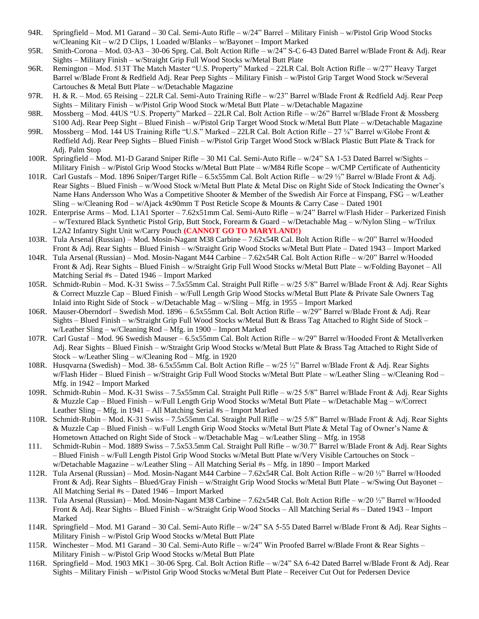- 94R. Springfield Mod. M1 Garand 30 Cal. Semi-Auto Rifle w/24" Barrel Military Finish w/Pistol Grip Wood Stocks w/Cleaning Kit – w/2 D Clips, 1 Loaded w/Blanks – w/Bayonet – Import Marked
- 95R. Smith-Corona Mod. 03-A3 30-06 Sprg. Cal. Bolt Action Rifle w/24" S-C 6-43 Dated Barrel w/Blade Front & Adj. Rear Sights – Military Finish – w/Straight Grip Full Wood Stocks w/Metal Butt Plate
- 96R. Remington Mod. 513T The Match Master "U.S. Property" Marked 22LR Cal. Bolt Action Rifle w/27" Heavy Target Barrel w/Blade Front & Redfield Adj. Rear Peep Sights – Military Finish – w/Pistol Grip Target Wood Stock w/Several Cartouches & Metal Butt Plate – w/Detachable Magazine
- 97R. H. & R. Mod. 65 Reising 22LR Cal. Semi-Auto Training Rifle w/23" Barrel w/Blade Front & Redfield Adj. Rear Peep Sights – Military Finish – w/Pistol Grip Wood Stock w/Metal Butt Plate – w/Detachable Magazine
- 98R. Mossberg Mod. 44US "U.S. Property" Marked 22LR Cal. Bolt Action Rifle w/26" Barrel w/Blade Front & Mossberg S100 Adj. Rear Peep Sight – Blued Finish – w/Pistol Grip Target Wood Stock w/Metal Butt Plate – w/Detachable Magazine
- 99R. Mossberg Mod. 144 US Training Rifle "U.S." Marked 22LR Cal. Bolt Action Rifle 27 ¼" Barrel w/Globe Front & Redfield Adj. Rear Peep Sights – Blued Finish – w/Pistol Grip Target Wood Stock w/Black Plastic Butt Plate & Track for Adj. Palm Stop
- 100R. Springfield Mod. M1-D Garand Sniper Rifle 30 M1 Cal. Semi-Auto Rifle w/24" SA 1-53 Dated Barrel w/Sights Military Finish – w/Pistol Grip Wood Stocks w/Metal Butt Plate – w/M84 Rifle Scope – w/CMP Certificate of Authenticity
- 101R. Carl Gustafs Mod. 1896 Sniper/Target Rifle 6.5x55mm Cal. Bolt Action Rifle w/29 ½" Barrel w/Blade Front & Adj. Rear Sights – Blued Finish – w/Wood Stock w/Metal Butt Plate & Metal Disc on Right Side of Stock Indicating the Owner's Name Hans Andersson Who Was a Competitive Shooter & Member of the Swedish Air Force at Finspang, FSG – w/Leather Sling – w/Cleaning Rod – w/Ajack 4x90mm T Post Reticle Scope & Mounts & Carry Case – Dated 1901
- 102R. Enterprise Arms Mod. L1A1 Sporter 7.62x51mm Cal. Semi-Auto Rifle w/24" Barrel w/Flash Hider Parkerized Finish – w/Textured Black Synthetic Pistol Grip, Butt Stock, Forearm & Guard – w/Detachable Mag – w/Nylon Sling – w/Trilux L2A2 Infantry Sight Unit w/Carry Pouch **(CANNOT GO TO MARYLAND!)**
- 103R. Tula Arsenal (Russian) Mod. Mosin-Nagant M38 Carbine 7.62x54R Cal. Bolt Action Rifle w/20" Barrel w/Hooded Front & Adj. Rear Sights – Blued Finish – w/Straight Grip Wood Stocks w/Metal Butt Plate – Dated 1943 – Import Marked
- 104R. Tula Arsenal (Russian) Mod. Mosin-Nagant M44 Carbine 7.62x54R Cal. Bolt Action Rifle w/20" Barrel w/Hooded Front & Adj. Rear Sights – Blued Finish – w/Straight Grip Full Wood Stocks w/Metal Butt Plate – w/Folding Bayonet – All Matching Serial #s – Dated 1946 – Import Marked
- 105R. Schmidt-Rubin Mod. K-31 Swiss 7.5x55mm Cal. Straight Pull Rifle w/25 5/8" Barrel w/Blade Front & Adj. Rear Sights & Correct Muzzle Cap – Blued Finish – w/Full Length Grip Wood Stocks w/Metal Butt Plate & Private Sale Owners Tag Inlaid into Right Side of Stock – w/Detachable Mag – w/Sling – Mfg. in 1955 – Import Marked
- 106R. Mauser-Oberndorf Swedish Mod. 1896 6.5x55mm Cal. Bolt Action Rifle w/29" Barrel w/Blade Front & Adj. Rear Sights – Blued Finish – w/Straight Grip Full Wood Stocks w/Metal Butt & Brass Tag Attached to Right Side of Stock – w/Leather Sling – w/Cleaning Rod – Mfg. in 1900 – Import Marked
- 107R. Carl Gustaf Mod. 96 Swedish Mauser 6.5x55mm Cal. Bolt Action Rifle w/29" Barrel w/Hooded Front & Metallverken Adj. Rear Sights – Blued Finish – w/Straight Grip Wood Stocks w/Metal Butt Plate & Brass Tag Attached to Right Side of Stock – w/Leather Sling – w/Cleaning Rod – Mfg. in 1920
- 108R. Husqvarna (Swedish) Mod. 38- 6.5x55mm Cal. Bolt Action Rifle w/25 ½" Barrel w/Blade Front & Adj. Rear Sights w/Flash Hider – Blued Finish – w/Straight Grip Full Wood Stocks w/Metal Butt Plate – w/Leather Sling – w/Cleaning Rod – Mfg. in 1942 – Import Marked
- 109R. Schmidt-Rubin Mod. K-31 Swiss 7.5x55mm Cal. Straight Pull Rifle w/25 5/8" Barrel w/Blade Front & Adj. Rear Sights & Muzzle Cap – Blued Finish – w/Full Length Grip Wood Stocks w/Metal Butt Plate – w/Detachable Mag – w/Correct Leather Sling – Mfg. in 1941 – All Matching Serial #s – Import Marked
- 110R. Schmidt-Rubin Mod. K-31 Swiss 7.5x55mm Cal. Straight Pull Rifle w/25 5/8" Barrel w/Blade Front & Adj. Rear Sights & Muzzle Cap – Blued Finish – w/Full Length Grip Wood Stocks w/Metal Butt Plate & Metal Tag of Owner's Name & Hometown Attached on Right Side of Stock – w/Detachable Mag – w/Leather Sling – Mfg. in 1958
- 111. Schmidt-Rubin Mod. 1889 Swiss 7.5x53.5mm Cal. Straight Pull Rifle w/30.7" Barrel w/Blade Front & Adj. Rear Sights – Blued Finish – w/Full Length Pistol Grip Wood Stocks w/Metal Butt Plate w/Very Visible Cartouches on Stock – w/Detachable Magazine – w/Leather Sling – All Matching Serial #s – Mfg. in 1890 – Import Marked
- 112R. Tula Arsenal (Russian) Mod. Mosin-Nagant M44 Carbine 7.62x54R Cal. Bolt Action Rifle w/20 ½" Barrel w/Hooded Front & Adj. Rear Sights – Blued/Gray Finish – w/Straight Grip Wood Stocks w/Metal Butt Plate – w/Swing Out Bayonet – All Matching Serial #s – Dated 1946 – Import Marked
- 113R. Tula Arsenal (Russian) Mod. Mosin-Nagant M38 Carbine 7.62x54R Cal. Bolt Action Rifle w/20 ½" Barrel w/Hooded Front & Adj. Rear Sights – Blued Finish – w/Straight Grip Wood Stocks – All Matching Serial #s – Dated 1943 – Import Marked
- 114R. Springfield Mod. M1 Garand 30 Cal. Semi-Auto Rifle w/24" SA 5-55 Dated Barrel w/Blade Front & Adj. Rear Sights Military Finish – w/Pistol Grip Wood Stocks w/Metal Butt Plate
- 115R. Winchester Mod. M1 Garand 30 Cal. Semi-Auto Rifle w/24" Win Proofed Barrel w/Blade Front & Rear Sights Military Finish – w/Pistol Grip Wood Stocks w/Metal Butt Plate
- 116R. Springfield Mod. 1903 MK1 30-06 Sprg. Cal. Bolt Action Rifle w/24" SA 6-42 Dated Barrel w/Blade Front & Adj. Rear Sights – Military Finish – w/Pistol Grip Wood Stocks w/Metal Butt Plate – Receiver Cut Out for Pedersen Device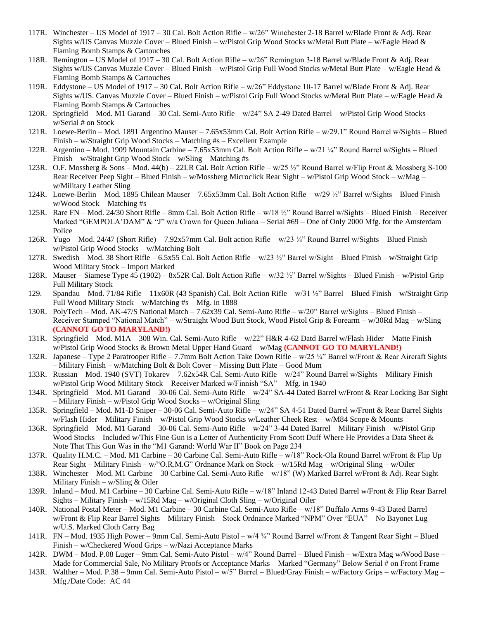- 117R. Winchester US Model of 1917 30 Cal. Bolt Action Rifle w/26" Winchester 2-18 Barrel w/Blade Front & Adj. Rear Sights w/US Canvas Muzzle Cover – Blued Finish – w/Pistol Grip Wood Stocks w/Metal Butt Plate – w/Eagle Head & Flaming Bomb Stamps & Cartouches
- 118R. Remington US Model of 1917 30 Cal. Bolt Action Rifle w/26" Remington 3-18 Barrel w/Blade Front & Adj. Rear Sights w/US Canvas Muzzle Cover – Blued Finish – w/Pistol Grip Full Wood Stocks w/Metal Butt Plate – w/Eagle Head & Flaming Bomb Stamps & Cartouches
- 119R. Eddystone US Model of 1917 30 Cal. Bolt Action Rifle w/26" Eddystone 10-17 Barrel w/Blade Front & Adj. Rear Sights w/US. Canvas Muzzle Cover – Blued Finish – w/Pistol Grip Full Wood Stocks w/Metal Butt Plate – w/Eagle Head & Flaming Bomb Stamps & Cartouches
- 120R. Springfield Mod. M1 Garand 30 Cal. Semi-Auto Rifle w/24" SA 2-49 Dated Barrel w/Pistol Grip Wood Stocks w/Serial # on Stock
- 121R. Loewe-Berlin Mod. 1891 Argentino Mauser 7.65x53mm Cal. Bolt Action Rifle w/29.1" Round Barrel w/Sights Blued Finish – w/Straight Grip Wood Stocks – Matching #s – Excellent Example
- 122R. Argentino Mod. 1909 Mountain Carbine 7.65x53mm Cal. Bolt Action Rifle w/21 ¼" Round Barrel w/Sights Blued Finish – w/Straight Grip Wood Stock – w/Sling – Matching #s
- 123R. O.F. Mossberg & Sons Mod. 44(b) 22LR Cal. Bolt Action Rifle w/25 ½" Round Barrel w/Flip Front & Mossberg S-100 Rear Receiver Peep Sight – Blued Finish – w/Mossberg Microclick Rear Sight – w/Pistol Grip Wood Stock – w/Mag – w/Military Leather Sling
- 124R. Loewe-Berlin Mod. 1895 Chilean Mauser 7.65x53mm Cal. Bolt Action Rifle w/29 ½" Barrel w/Sights Blued Finish w/Wood Stock – Matching #s
- 125R. Rare FN Mod. 24/30 Short Rifle 8mm Cal. Bolt Action Rifle w/18 ½" Round Barrel w/Sights Blued Finish Receiver Marked "GEMPOLA'DAM" & "J" w/a Crown for Queen Juliana – Serial #69 – One of Only 2000 Mfg. for the Amsterdam Police
- 126R. Yugo Mod. 24/47 (Short Rifle) 7.92x57mm Cal. Bolt action Rifle w/23 ¼" Round Barrel w/Sights Blued Finish w/Pistol Grip Wood Stocks – w/Matching Bolt
- 127R. Swedish Mod. 38 Short Rifle 6.5x55 Cal. Bolt Action Rifle w/23 ½" Barrel w/Sight Blued Finish w/Straight Grip Wood Military Stock – Import Marked
- 128R. Mauser Siamese Type 45 (1902) 8x52R Cal. Bolt Action Rifle w/32 ½" Barrel w/Sights Blued Finish w/Pistol Grip Full Military Stock
- 129. Spandau Mod. 71/84 Rifle 11x60R (43 Spanish) Cal. Bolt Action Rifle w/31 ½" Barrel Blued Finish w/Straight Grip Full Wood Military Stock – w/Matching #s – Mfg. in 1888
- 130R. PolyTech Mod. AK-47/S National Match 7.62x39 Cal. Semi-Auto Rifle w/20" Barrel w/Sights Blued Finish Receiver Stamped "National Match" – w/Straight Wood Butt Stock, Wood Pistol Grip & Forearm – w/30Rd Mag – w/Sling **(CANNOT GO TO MARYLAND!)**
- 131R. Springfield Mod. M1A 308 Win. Cal. Semi-Auto Rifle w/22" H&R 4-62 Datd Barrel w/Flash Hider Matte Finish w/Pistol Grip Wood Stocks & Brown Metal Upper Hand Guard – w/Mag **(CANNOT GO TO MARYLAND!)**
- 132R. Japanese Type 2 Paratrooper Rifle 7.7mm Bolt Action Take Down Rifle w/25 ¼" Barrel w/Front & Rear Aircraft Sights – Military Finish – w/Matching Bolt & Bolt Cover – Missing Butt Plate – Good Mum
- 133R. Russian Mod. 1940 (SVT) Tokarev 7.62x54R Cal. Semi-Auto Rifle w/24" Round Barrel w/Sights Military Finish w/Pistol Grip Wood Military Stock – Receiver Marked w/Finnish "SA" – Mfg. in 1940
- 134R. Springfield Mod. M1 Garand 30-06 Cal. Semi-Auto Rifle w/24" SA-44 Dated Barrel w/Front & Rear Locking Bar Sight – Military Finish – w/Pistol Grip Wood Stocks – w/Original Sling
- 135R. Springfield Mod. M1-D Sniper 30-06 Cal. Semi-Auto Rifle w/24" SA 4-51 Dated Barrel w/Front & Rear Barrel Sights w/Flash Hider – Military Finish – w/Pistol Grip Wood Stocks w/Leather Cheek Rest – w/M84 Scope & Mounts
- 136R. Springfield Mod. M1 Garand 30-06 Cal. Semi-Auto Rifle w/24" 3-44 Dated Barrel Military Finish w/Pistol Grip Wood Stocks – Included w/This Fine Gun is a Letter of Authenticity From Scott Duff Where He Provides a Data Sheet & Note That This Gun Was in the "M1 Garand: World War II" Book on Page 234
- 137R. Quality H.M.C. Mod. M1 Carbine 30 Carbine Cal. Semi-Auto Rifle w/18" Rock-Ola Round Barrel w/Front & Flip Up Rear Sight – Military Finish – w/"O.R.M.G" Ordnance Mark on Stock – w/15Rd Mag – w/Original Sling – w/Oiler
- 138R. Winchester Mod. M1 Carbine 30 Carbine Cal. Semi-Auto Rifle w/18" (W) Marked Barrel w/Front & Adj. Rear Sight Military Finish –  $w/Sling & Oiler$
- 139R. Inland Mod. M1 Carbine 30 Carbine Cal. Semi-Auto Rifle w/18" Inland 12-43 Dated Barrel w/Front & Flip Rear Barrel Sights – Military Finish – w/15Rd Mag – w/Original Cloth Sling – w/Original Oiler
- 140R. National Postal Meter Mod. M1 Carbine 30 Carbine Cal. Semi-Auto Rifle w/18" Buffalo Arms 9-43 Dated Barrel w/Front & Flip Rear Barrel Sights – Military Finish – Stock Ordnance Marked "NPM" Over "EUA" – No Bayonet Lug – w/U.S. Marked Cloth Carry Bag
- 141R. FN Mod. 1935 High Power 9mm Cal. Semi-Auto Pistol w/4 ¾" Round Barrel w/Front & Tangent Rear Sight Blued Finish – w/Checkered Wood Grips – w/Nazi Acceptance Marks
- 142R. DWM Mod. P.08 Luger 9mm Cal. Semi-Auto Pistol w/4" Round Barrel Blued Finish w/Extra Mag w/Wood Base Made for Commercial Sale, No Military Proofs or Acceptance Marks – Marked "Germany" Below Serial # on Front Frame
- 143R. Walther Mod. P.38 9mm Cal. Semi-Auto Pistol w/5" Barrel Blued/Gray Finish w/Factory Grips w/Factory Mag Mfg./Date Code: AC 44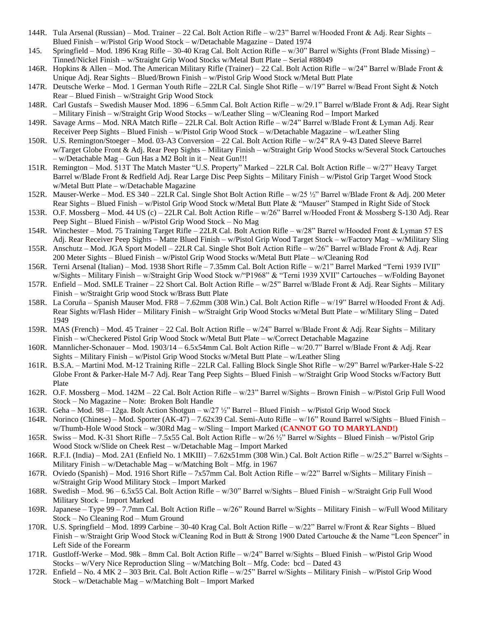- 144R. Tula Arsenal (Russian) Mod. Trainer 22 Cal. Bolt Action Rifle w/23" Barrel w/Hooded Front & Adj. Rear Sights Blued Finish – w/Pistol Grip Wood Stock – w/Detachable Magazine – Dated 1974
- 145. Springfield Mod. 1896 Krag Rifle 30-40 Krag Cal. Bolt Action Rifle w/30" Barrel w/Sights (Front Blade Missing) Tinned/Nickel Finish – w/Straight Grip Wood Stocks w/Metal Butt Plate – Serial #88049
- 146R. Hopkins & Allen Mod. The American Military Rifle (Trainer) 22 Cal. Bolt Action Rifle w/24" Barrel w/Blade Front & Unique Adj. Rear Sights – Blued/Brown Finish – w/Pistol Grip Wood Stock w/Metal Butt Plate
- 147R. Deutsche Werke Mod. 1 German Youth Rifle 22LR Cal. Single Shot Rifle w/19" Barrel w/Bead Front Sight & Notch Rear – Blued Finish – w/Straight Grip Wood Stock
- 148R. Carl Gustafs Swedish Mauser Mod. 1896 6.5mm Cal. Bolt Action Rifle w/29.1" Barrel w/Blade Front & Adj. Rear Sight – Military Finish – w/Straight Grip Wood Stocks – w/Leather Sling – w/Cleaning Rod – Import Marked
- 149R. Savage Arms Mod. NRA Match Rifle 22LR Cal. Bolt Action Rifle w/24" Barrel w/Blade Front & Lyman Adj. Rear Receiver Peep Sights – Blued Finish – w/Pistol Grip Wood Stock – w/Detachable Magazine – w/Leather Sling
- 150R. U.S. Remington/Stoeger Mod. 03-A3 Conversion 22 Cal. Bolt Action Rifle w/24" RA 9-43 Dated Sleeve Barrel w/Target Globe Front & Adj. Rear Peep Sights – Military Finish – w/Straight Grip Wood Stocks w/Several Stock Cartouches – w/Detachable Mag – Gun Has a M2 Bolt in it – Neat Gun!!!
- 151R. Remington Mod. 513T The Match Master "U.S. Property" Marked 22LR Cal. Bolt Action Rifle w/27" Heavy Target Barrel w/Blade Front & Redfield Adj. Rear Large Disc Peep Sights – Military Finish – w/Pistol Grip Target Wood Stock w/Metal Butt Plate – w/Detachable Magazine
- 152R. Mauser-Werke Mod. ES 340 22LR Cal. Single Shot Bolt Action Rifle w/25 ½" Barrel w/Blade Front & Adj. 200 Meter Rear Sights – Blued Finish – w/Pistol Grip Wood Stock w/Metal Butt Plate & "Mauser" Stamped in Right Side of Stock
- 153R. O.F. Mossberg Mod. 44 US (c) 22LR Cal. Bolt Action Rifle w/26" Barrel w/Hooded Front & Mossberg S-130 Adj. Rear Peep Sight – Blued Finish – w/Pistol Grip Wood Stock – No Mag
- 154R. Winchester Mod. 75 Training Target Rifle 22LR Cal. Bolt Action Rifle w/28" Barrel w/Hooded Front & Lyman 57 ES Adj. Rear Receiver Peep Sights – Matte Blued Finish – w/Pistol Grip Wood Target Stock – w/Factory Mag – w/Military Sling
- 155R. Anschutz Mod. JGA Sport Modell 22LR Cal. Single Shot Bolt Action Rifle w/26" Barrel w/Blade Front & Adj. Rear 200 Meter Sights – Blued Finish – w/Pistol Grip Wood Stocks w/Metal Butt Plate – w/Cleaning Rod
- 156R. Terni Arsenal (Italian) Mod. 1938 Short Rifle 7.35mm Cal. Bolt Action Rifle w/21" Barrel Marked "Terni 1939 IVII" w/Sights – Military Finish – w/Straight Grip Wood Stock w/"P1968" & "Terni 1939 XVII" Cartouches – w/Folding Bayonet
- 157R. Enfield Mod. SMLE Trainer 22 Short Cal. Bolt Action Rifle w/25" Barrel w/Blade Front & Adj. Rear Sights Military Finish – w/Straight Grip wood Stock w/Brass Butt Plate
- 158R. La Coruña Spanish Mauser Mod. FR8 7.62mm (308 Win.) Cal. Bolt Action Rifle w/19" Barrel w/Hooded Front & Adj. Rear Sights w/Flash Hider – Military Finish – w/Straight Grip Wood Stocks w/Metal Butt Plate – w/Military Sling – Dated 1949
- 159R. MAS (French) Mod. 45 Trainer 22 Cal. Bolt Action Rifle w/24" Barrel w/Blade Front & Adj. Rear Sights Military Finish – w/Checkered Pistol Grip Wood Stock w/Metal Butt Plate – w/Correct Detachable Magazine
- 160R. Mannlicher-Schonauer Mod. 1903/14 6.5x54mm Cal. Bolt Action Rifle w/20.7" Barrel w/Blade Front & Adj. Rear Sights – Military Finish – w/Pistol Grip Wood Stocks w/Metal Butt Plate – w/Leather Sling
- 161R. B.S.A. Martini Mod. M-12 Training Rifle 22LR Cal. Falling Block Single Shot Rifle w/29" Barrel w/Parker-Hale S-22 Globe Front & Parker-Hale M-7 Adj. Rear Tang Peep Sights – Blued Finish – w/Straight Grip Wood Stocks w/Factory Butt Plate
- 162R. O.F. Mossberg Mod. 142M 22 Cal. Bolt Action Rifle w/23" Barrel w/Sights Brown Finish w/Pistol Grip Full Wood Stock – No Magazine – Note: Broken Bolt Handle
- 163R. Geha Mod. 98 12ga. Bolt Action Shotgun w/27 ½" Barrel Blued Finish w/Pistol Grip Wood Stock
- 164R. Norinco (Chinese) Mod. Sporter (AK-47) 7.62x39 Cal. Semi-Auto Rifle w/16" Round Barrel w/Sights Blued Finish w/Thumb-Hole Wood Stock – w/30Rd Mag – w/Sling – Import Marked **(CANNOT GO TO MARYLAND!)**
- 165R. Swiss Mod. K-31 Short Rifle 7.5x55 Cal. Bolt Action Rifle w/26 ½" Barrel w/Sights Blued Finish w/Pistol Grip Wood Stock w/Slide on Cheek Rest – w/Detachable Mag – Import Marked
- 166R. R.F.I. (India) Mod. 2A1 (Enfield No. 1 MKIII) 7.62x51mm (308 Win.) Cal. Bolt Action Rifle w/25.2" Barrel w/Sights Military Finish – w/Detachable Mag – w/Matching Bolt – Mfg. in 1967
- 167R. Oviedo (Spanish) Mod. 1916 Short Rifle 7x57mm Cal. Bolt Action Rifle w/22" Barrel w/Sights Military Finish w/Straight Grip Wood Military Stock – Import Marked
- 168R. Swedish Mod. 96 6.5x55 Cal. Bolt Action Rifle w/30" Barrel w/Sights Blued Finish w/Straight Grip Full Wood Military Stock – Import Marked
- 169R. Japanese Type 99 7.7mm Cal. Bolt Action Rifle w/26" Round Barrel w/Sights Military Finish w/Full Wood Military Stock – No Cleaning Rod – Mum Ground
- 170R. U.S. Springfield Mod. 1899 Carbine 30-40 Krag Cal. Bolt Action Rifle w/22" Barrel w/Front & Rear Sights Blued Finish – w/Straight Grip Wood Stock w/Cleaning Rod in Butt & Strong 1900 Dated Cartouche & the Name "Leon Spencer" in Left Side of the Forearm
- 171R. Gustloff-Werke Mod. 98k 8mm Cal. Bolt Action Rifle w/24" Barrel w/Sights Blued Finish w/Pistol Grip Wood Stocks – w/Very Nice Reproduction Sling – w/Matching Bolt – Mfg. Code: bcd – Dated 43
- 172R. Enfield No. 4 MK 2 303 Brit. Cal. Bolt Action Rifle w/25" Barrel w/Sights Military Finish w/Pistol Grip Wood Stock – w/Detachable Mag – w/Matching Bolt – Import Marked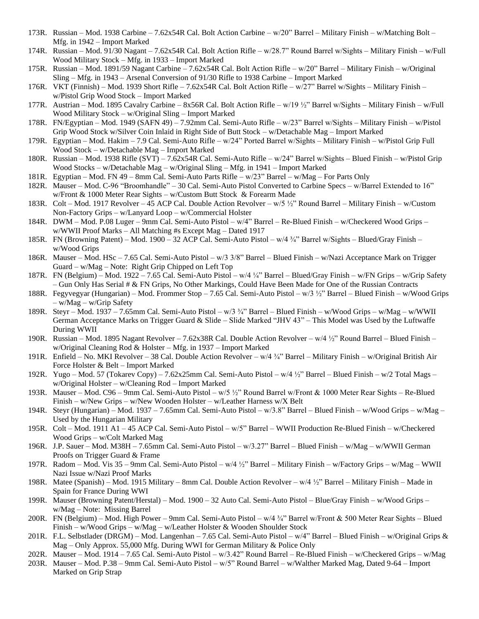- 173R. Russian Mod. 1938 Carbine 7.62x54R Cal. Bolt Action Carbine w/20" Barrel Military Finish w/Matching Bolt Mfg. in 1942 – Import Marked
- 174R. Russian Mod. 91/30 Nagant 7.62x54R Cal. Bolt Action Rifle w/28.7" Round Barrel w/Sights Military Finish w/Full Wood Military Stock – Mfg. in 1933 – Import Marked
- 175R. Russian Mod. 1891/59 Nagant Carbine 7.62x54R Cal. Bolt Action Rifle w/20" Barrel Military Finish w/Original Sling – Mfg. in 1943 – Arsenal Conversion of 91/30 Rifle to 1938 Carbine – Import Marked
- 176R. VKT (Finnish) Mod. 1939 Short Rifle 7.62x54R Cal. Bolt Action Rifle w/27" Barrel w/Sights Military Finish w/Pistol Grip Wood Stock – Import Marked
- 177R. Austrian Mod. 1895 Cavalry Carbine 8x56R Cal. Bolt Action Rifle w/19 ½" Barrel w/Sights Military Finish w/Full Wood Military Stock – w/Original Sling – Import Marked
- 178R. FN/Egyptian Mod. 1949 (SAFN 49) 7.92mm Cal. Semi-Auto Rifle w/23" Barrel w/Sights Military Finish w/Pistol Grip Wood Stock w/Silver Coin Inlaid in Right Side of Butt Stock – w/Detachable Mag – Import Marked
- 179R. Egyptian Mod. Hakim 7.9 Cal. Semi-Auto Rifle w/24" Ported Barrel w/Sights Military Finish w/Pistol Grip Full Wood Stock – w/Detachable Mag – Import Marked
- 180R. Russian Mod. 1938 Rifle (SVT) 7.62x54R Cal. Semi-Auto Rifle w/24" Barrel w/Sights Blued Finish w/Pistol Grip Wood Stocks – w/Detachable Mag – w/Original Sling – Mfg. in 1941 – Import Marked
- 181R. Egyptian Mod. FN 49 8mm Cal. Semi-Auto Parts Rifle w/23" Barrel w/Mag For Parts Only
- 182R. Mauser Mod. C-96 "Broomhandle" 30 Cal. Semi-Auto Pistol Converted to Carbine Specs w/Barrel Extended to 16" w/Front & 1000 Meter Rear Sights – w/Custom Butt Stock & Forearm Made
- 183R. Colt Mod. 1917 Revolver 45 ACP Cal. Double Action Revolver w/5 ½" Round Barrel Military Finish w/Custom Non-Factory Grips – w/Lanyard Loop – w/Commercial Holster
- 184R. DWM Mod. P.08 Luger 9mm Cal. Semi-Auto Pistol w/4" Barrel Re-Blued Finish w/Checkered Wood Grips w/WWII Proof Marks – All Matching #s Except Mag – Dated 1917
- 185R. FN (Browning Patent) Mod. 1900 32 ACP Cal. Semi-Auto Pistol w/4 ¾" Barrel w/Sights Blued/Gray Finish w/Wood Grips
- 186R. Mauser Mod. HSc 7.65 Cal. Semi-Auto Pistol w/3 3/8" Barrel Blued Finish w/Nazi Acceptance Mark on Trigger Guard – w/Mag – Note: Right Grip Chipped on Left Top
- 187R. FN (Belgium) Mod. 1922 7.65 Cal. Semi-Auto Pistol w/4 ¼" Barrel Blued/Gray Finish w/FN Grips w/Grip Safety – Gun Only Has Serial # & FN Grips, No Other Markings, Could Have Been Made for One of the Russian Contracts
- 188R. Fegyvegyar (Hungarian) Mod. Frommer Stop 7.65 Cal. Semi-Auto Pistol w/3 ½" Barrel Blued Finish w/Wood Grips – w/Mag – w/Grip Safety
- 189R. Steyr Mod. 1937 7.65mm Cal. Semi-Auto Pistol w/3 ¾" Barrel Blued Finish w/Wood Grips w/Mag w/WWII German Acceptance Marks on Trigger Guard & Slide – Slide Marked "JHV 43" – This Model was Used by the Luftwaffe During WWII
- 190R. Russian Mod. 1895 Nagant Revolver 7.62x38R Cal. Double Action Revolver w/4 ½" Round Barrel Blued Finish w/Original Cleaning Rod & Holster – Mfg. in 1937 – Import Marked
- 191R. Enfield No. MKI Revolver 38 Cal. Double Action Revolver w/4 ¾" Barrel Military Finish w/Original British Air Force Holster & Belt – Import Marked
- 192R. Yugo Mod. 57 (Tokarev Copy) 7.62x25mm Cal. Semi-Auto Pistol w/4 ½" Barrel Blued Finish w/2 Total Mags w/Original Holster – w/Cleaning Rod – Import Marked
- 193R. Mauser Mod. C96 9mm Cal. Semi-Auto Pistol w/5 ½" Round Barrel w/Front & 1000 Meter Rear Sights Re-Blued Finish – w/New Grips – w/New Wooden Holster – w/Leather Harness w/X Belt
- 194R. Steyr (Hungarian) Mod. 1937 7.65mm Cal. Semi-Auto Pistol w/3.8" Barrel Blued Finish w/Wood Grips w/Mag Used by the Hungarian Military
- 195R. Colt Mod. 1911 A1 45 ACP Cal. Semi-Auto Pistol w/5" Barrel WWII Production Re-Blued Finish w/Checkered Wood Grips – w/Colt Marked Mag
- 196R. J.P. Sauer Mod. M38H 7.65mm Cal. Semi-Auto Pistol w/3.27" Barrel Blued Finish w/Mag w/WWII German Proofs on Trigger Guard & Frame
- 197R. Radom Mod. Vis 35 9mm Cal. Semi-Auto Pistol w/4 ½" Barrel Military Finish w/Factory Grips w/Mag WWII Nazi Issue w/Nazi Proof Marks
- 198R. Matee (Spanish) Mod. 1915 Military 8mm Cal. Double Action Revolver w/4 ½" Barrel Military Finish Made in Spain for France During WWI
- 199R. Mauser (Browning Patent/Herstal) Mod. 1900 32 Auto Cal. Semi-Auto Pistol Blue/Gray Finish w/Wood Grips w/Mag – Note: Missing Barrel
- 200R. FN (Belgium) Mod. High Power 9mm Cal. Semi-Auto Pistol w/4 ¾" Barrel w/Front & 500 Meter Rear Sights Blued Finish – w/Wood Grips – w/Mag – w/Leather Holster & Wooden Shoulder Stock
- 201R. F.L. Selbstlader (DRGM) Mod. Langenhan 7.65 Cal. Semi-Auto Pistol w/4" Barrel Blued Finish w/Original Grips & Mag – Only Approx. 55,000 Mfg. During WWI for German Military & Police Only
- 202R. Mauser Mod. 1914 7.65 Cal. Semi-Auto Pistol w/3.42" Round Barrel Re-Blued Finish w/Checkered Grips w/Mag
- 203R. Mauser Mod. P.38 9mm Cal. Semi-Auto Pistol w/5" Round Barrel w/Walther Marked Mag, Dated 9-64 Import Marked on Grip Strap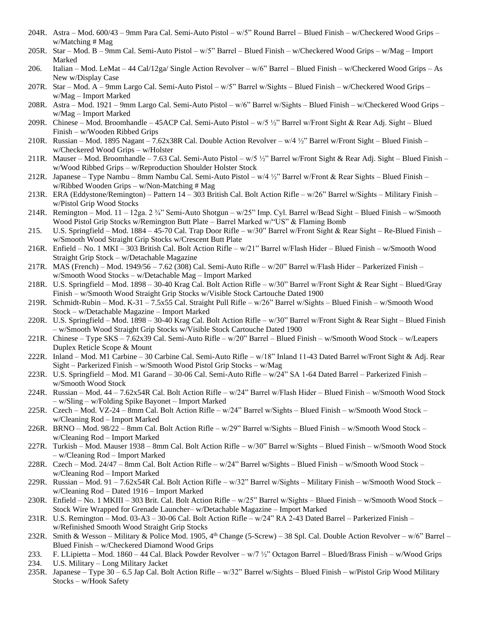- 204R. Astra Mod. 600/43 9mm Para Cal. Semi-Auto Pistol w/5" Round Barrel Blued Finish w/Checkered Wood Grips w/Matching # Mag
- 205R. Star Mod. B 9mm Cal. Semi-Auto Pistol w/5" Barrel Blued Finish w/Checkered Wood Grips w/Mag Import Marked
- 206. Italian Mod. LeMat 44 Cal/12ga/ Single Action Revolver w/6" Barrel Blued Finish w/Checkered Wood Grips As New w/Display Case
- 207R. Star Mod. A 9mm Largo Cal. Semi-Auto Pistol w/5" Barrel w/Sights Blued Finish w/Checkered Wood Grips w/Mag – Import Marked
- 208R. Astra Mod. 1921 9mm Largo Cal. Semi-Auto Pistol w/6" Barrel w/Sights Blued Finish w/Checkered Wood Grips w/Mag – Import Marked
- 209R. Chinese Mod. Broomhandle 45ACP Cal. Semi-Auto Pistol w/5 ½" Barrel w/Front Sight & Rear Adj. Sight Blued Finish – w/Wooden Ribbed Grips
- 210R. Russian Mod. 1895 Nagant 7.62x38R Cal. Double Action Revolver w/4 ½" Barrel w/Front Sight Blued Finish w/Checkered Wood Grips – w/Holster
- 211R. Mauser Mod. Broomhandle 7.63 Cal. Semi-Auto Pistol w/5 ½" Barrel w/Front Sight & Rear Adj. Sight Blued Finish w/Wood Ribbed Grips – w/Reproduction Shoulder Holster Stock
- 212R. Japanese Type Nambu 8mm Nambu Cal. Semi-Auto Pistol w/4 ½" Barrel w/Front & Rear Sights Blued Finish w/Ribbed Wooden Grips – w/Non-Matching # Mag
- 213R. ERA (Eddystone/Remington) Pattern 14 303 British Cal. Bolt Action Rifle w/26" Barrel w/Sights Military Finish w/Pistol Grip Wood Stocks
- 214R. Remington Mod. 11 12ga. 2 ¼" Semi-Auto Shotgun w/25" Imp. Cyl. Barrel w/Bead Sight Blued Finish w/Smooth Wood Pistol Grip Stocks w/Remington Butt Plate – Barrel Marked w/"US" & Flaming Bomb
- 215. U.S. Springfield Mod. 1884 45-70 Cal. Trap Door Rifle w/30" Barrel w/Front Sight & Rear Sight Re-Blued Finish w/Smooth Wood Straight Grip Stocks w/Crescent Butt Plate
- 216R. Enfield No. 1 MKI 303 British Cal. Bolt Action Rifle w/21" Barrel w/Flash Hider Blued Finish w/Smooth Wood Straight Grip Stock – w/Detachable Magazine
- 217R. MAS (French) Mod. 1949/56 7.62 (308) Cal. Semi-Auto Rifle w/20" Barrel w/Flash Hider Parkerized Finish w/Smooth Wood Stocks – w/Detachable Mag – Import Marked
- 218R. U.S. Springfield Mod. 1898 30-40 Krag Cal. Bolt Action Rifle w/30" Barrel w/Front Sight & Rear Sight Blued/Gray Finish – w/Smooth Wood Straight Grip Stocks w/Visible Stock Cartouche Dated 1900
- 219R. Schmidt-Rubin Mod. K-31 7.5x55 Cal. Straight Pull Rifle w/26" Barrel w/Sights Blued Finish w/Smooth Wood Stock – w/Detachable Magazine – Import Marked
- 220R. U.S. Springfield Mod. 1898 30-40 Krag Cal. Bolt Action Rifle w/30" Barrel w/Front Sight & Rear Sight Blued Finish – w/Smooth Wood Straight Grip Stocks w/Visible Stock Cartouche Dated 1900
- 221R. Chinese Type SKS 7.62x39 Cal. Semi-Auto Rifle w/20" Barrel Blued Finish w/Smooth Wood Stock w/Leapers Duplex Reticle Scope & Mount
- 222R. Inland Mod. M1 Carbine 30 Carbine Cal. Semi-Auto Rifle w/18" Inland 11-43 Dated Barrel w/Front Sight & Adj. Rear Sight – Parkerized Finish – w/Smooth Wood Pistol Grip Stocks – w/Mag
- 223R. U.S. Springfield Mod. M1 Garand 30-06 Cal. Semi-Auto Rifle w/24" SA 1-64 Dated Barrel Parkerized Finish w/Smooth Wood Stock
- 224R. Russian Mod. 44 7.62x54R Cal. Bolt Action Rifle w/24" Barrel w/Flash Hider Blued Finish w/Smooth Wood Stock – w/Sling – w/Folding Spike Bayonet – Import Marked
- 225R. Czech Mod. VZ-24 8mm Cal. Bolt Action Rifle w/24" Barrel w/Sights Blued Finish w/Smooth Wood Stock w/Cleaning Rod – Import Marked
- 226R. BRNO Mod. 98/22 8mm Cal. Bolt Action Rifle w/29" Barrel w/Sights Blued Finish w/Smooth Wood Stock w/Cleaning Rod – Import Marked
- 227R. Turkish Mod. Mauser 1938 8mm Cal. Bolt Action Rifle w/30" Barrel w/Sights Blued Finish w/Smooth Wood Stock – w/Cleaning Rod – Import Marked
- 228R. Czech Mod. 24/47 8mm Cal. Bolt Action Rifle w/24" Barrel w/Sights Blued Finish w/Smooth Wood Stock w/Cleaning Rod – Import Marked
- 229R. Russian Mod. 91 7.62x54R Cal. Bolt Action Rifle w/32" Barrel w/Sights Military Finish w/Smooth Wood Stock w/Cleaning Rod – Dated 1916 – Import Marked
- 230R. Enfield No. 1 MKIII 303 Brit. Cal. Bolt Action Rifle w/25" Barrel w/Sights Blued Finish w/Smooth Wood Stock Stock Wire Wrapped for Grenade Launcher– w/Detachable Magazine – Import Marked
- 231R. U.S. Remington Mod. 03-A3 30-06 Cal. Bolt Action Rifle w/24" RA 2-43 Dated Barrel Parkerized Finish w/Refinished Smooth Wood Straight Grip Stocks
- 232R. Smith & Wesson Military & Police Mod. 1905, 4<sup>th</sup> Change (5-Screw) 38 Spl. Cal. Double Action Revolver w/6" Barrel Blued Finish – w/Checkered Diamond Wood Grips
- 233. F. LLipietta Mod. 1860 44 Cal. Black Powder Revolver w/7 ½" Octagon Barrel Blued/Brass Finish w/Wood Grips
- 234. U.S. Military Long Military Jacket
- 235R. Japanese Type 30 6.5 Jap Cal. Bolt Action Rifle w/32" Barrel w/Sights Blued Finish w/Pistol Grip Wood Military Stocks – w/Hook Safety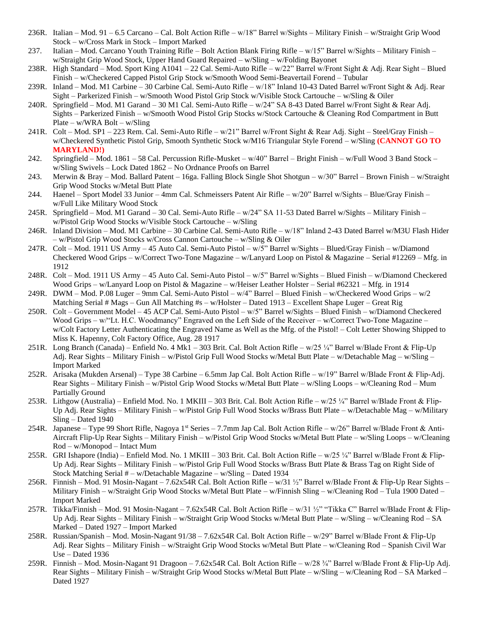- 236R. Italian Mod. 91 6.5 Carcano Cal. Bolt Action Rifle w/18" Barrel w/Sights Military Finish w/Straight Grip Wood Stock – w/Cross Mark in Stock – Import Marked
- 237. Italian Mod. Carcano Youth Training Rifle Bolt Action Blank Firing Rifle w/15" Barrel w/Sights Military Finish w/Straight Grip Wood Stock, Upper Hand Guard Repaired – w/Sling – w/Folding Bayonet
- 238R. High Standard Mod. Sport King A1041 22 Cal. Semi-Auto Rifle w/22" Barrel w/Front Sight & Adj. Rear Sight Blued Finish – w/Checkered Capped Pistol Grip Stock w/Smooth Wood Semi-Beavertail Forend – Tubular
- 239R. Inland Mod. M1 Carbine 30 Carbine Cal. Semi-Auto Rifle w/18" Inland 10-43 Dated Barrel w/Front Sight & Adj. Rear Sight – Parkerized Finish – w/Smooth Wood Pistol Grip Stock w/Visible Stock Cartouche – w/Sling & Oiler
- 240R. Springfield Mod. M1 Garand 30 M1 Cal. Semi-Auto Rifle w/24" SA 8-43 Dated Barrel w/Front Sight & Rear Adj. Sights – Parkerized Finish – w/Smooth Wood Pistol Grip Stocks w/Stock Cartouche & Cleaning Rod Compartment in Butt Plate – w/WRA Bolt – w/Sling
- 241R. Colt Mod. SP1 223 Rem. Cal. Semi-Auto Rifle w/21" Barrel w/Front Sight & Rear Adj. Sight Steel/Gray Finish w/Checkered Synthetic Pistol Grip, Smooth Synthetic Stock w/M16 Triangular Style Forend – w/Sling **(CANNOT GO TO MARYLAND!)**
- 242. Springfield Mod. 1861 58 Cal. Percussion Rifle-Musket w/40" Barrel Bright Finish w/Full Wood 3 Band Stock w/Sling Swivels – Lock Dated 1862 – No Ordnance Proofs on Barrel
- 243. Merwin & Bray Mod. Ballard Patent 16ga. Falling Block Single Shot Shotgun w/30" Barrel Brown Finish w/Straight Grip Wood Stocks w/Metal Butt Plate
- 244. Haenel Sport Model 33 Junior 4mm Cal. Schmeissers Patent Air Rifle w/20" Barrel w/Sights Blue/Gray Finish w/Full Like Military Wood Stock
- 245R. Springfield Mod. M1 Garand 30 Cal. Semi-Auto Rifle w/24" SA 11-53 Dated Barrel w/Sights Military Finish w/Pistol Grip Wood Stocks w/Visible Stock Cartouche – w/Sling
- 246R. Inland Division Mod. M1 Carbine 30 Carbine Cal. Semi-Auto Rifle w/18" Inland 2-43 Dated Barrel w/M3U Flash Hider – w/Pistol Grip Wood Stocks w/Cross Cannon Cartouche – w/Sling & Oiler
- 247R. Colt Mod. 1911 US Army 45 Auto Cal. Semi-Auto Pistol w/5" Barrel w/Sights Blued/Gray Finish w/Diamond Checkered Wood Grips – w/Correct Two-Tone Magazine – w/Lanyard Loop on Pistol & Magazine – Serial #12269 – Mfg. in 1912
- 248R. Colt Mod. 1911 US Army 45 Auto Cal. Semi-Auto Pistol w/5" Barrel w/Sights Blued Finish w/Diamond Checkered Wood Grips – w/Lanyard Loop on Pistol & Magazine – w/Heiser Leather Holster – Serial #62321 – Mfg. in 1914
- 249R. DWM Mod. P.08 Luger 9mm Cal. Semi-Auto Pistol w/4" Barrel Blued Finish w/Checkered Wood Grips w/2 Matching Serial # Mags – Gun All Matching #s – w/Holster – Dated 1913 – Excellent Shape Luger – Great Rig
- 250R. Colt Government Model 45 ACP Cal. Semi-Auto Pistol w/5" Barrel w/Sights Blued Finish w/Diamond Checkered Wood Grips – w/"Lt. H.C. Woodmancy" Engraved on the Left Side of the Receiver – w/Correct Two-Tone Magazine – w/Colt Factory Letter Authenticating the Engraved Name as Well as the Mfg. of the Pistol! – Colt Letter Showing Shipped to Miss K. Hapenny, Colt Factory Office, Aug. 28 1917
- 251R. Long Branch (Canada) Enfield No. 4 Mk1 303 Brit. Cal. Bolt Action Rifle w/25 ¼" Barrel w/Blade Front & Flip-Up Adj. Rear Sights – Military Finish – w/Pistol Grip Full Wood Stocks w/Metal Butt Plate – w/Detachable Mag – w/Sling – Import Marked
- 252R. Arisaka (Mukden Arsenal) Type 38 Carbine 6.5mm Jap Cal. Bolt Action Rifle w/19" Barrel w/Blade Front & Flip-Adj. Rear Sights – Military Finish – w/Pistol Grip Wood Stocks w/Metal Butt Plate – w/Sling Loops – w/Cleaning Rod – Mum Partially Ground
- 253R. Lithgow (Australia) Enfield Mod. No. 1 MKIII 303 Brit. Cal. Bolt Action Rifle w/25 ¼" Barrel w/Blade Front & Flip-Up Adj. Rear Sights – Military Finish – w/Pistol Grip Full Wood Stocks w/Brass Butt Plate – w/Detachable Mag – w/Military Sling – Dated 1940
- 254R. Japanese Type 99 Short Rifle, Nagoya 1<sup>st</sup> Series 7.7mm Jap Cal. Bolt Action Rifle w/26" Barrel w/Blade Front & Anti-Aircraft Flip-Up Rear Sights – Military Finish – w/Pistol Grip Wood Stocks w/Metal Butt Plate – w/Sling Loops – w/Cleaning Rod – w/Monopod – Intact Mum
- 255R. GRI Ishapore (India) Enfield Mod. No. 1 MKIII 303 Brit. Cal. Bolt Action Rifle w/25 ¼" Barrel w/Blade Front & Flip-Up Adj. Rear Sights – Military Finish – w/Pistol Grip Full Wood Stocks w/Brass Butt Plate & Brass Tag on Right Side of Stock Matching Serial # – w/Detachable Magazine – w/Sling – Dated 1934
- 256R. Finnish Mod. 91 Mosin-Nagant 7.62x54R Cal. Bolt Action Rifle w/31 ½" Barrel w/Blade Front & Flip-Up Rear Sights Military Finish – w/Straight Grip Wood Stocks w/Metal Butt Plate – w/Finnish Sling – w/Cleaning Rod – Tula 1900 Dated – Import Marked
- 257R. Tikka/Finnish Mod. 91 Mosin-Nagant 7.62x54R Cal. Bolt Action Rifle w/31 ½" "Tikka C" Barrel w/Blade Front & Flip-Up Adj. Rear Sights – Military Finish – w/Straight Grip Wood Stocks w/Metal Butt Plate – w/Sling – w/Cleaning Rod – SA Marked – Dated 1927 – Import Marked
- 258R. Russian/Spanish Mod. Mosin-Nagant 91/38 7.62x54R Cal. Bolt Action Rifle w/29" Barrel w/Blade Front & Flip-Up Adj. Rear Sights – Military Finish – w/Straight Grip Wood Stocks w/Metal Butt Plate – w/Cleaning Rod – Spanish Civil War Use – Dated 1936
- 259R. Finnish Mod. Mosin-Nagant 91 Dragoon 7.62x54R Cal. Bolt Action Rifle w/28 ¾" Barrel w/Blade Front & Flip-Up Adj. Rear Sights – Military Finish – w/Straight Grip Wood Stocks w/Metal Butt Plate – w/Sling – w/Cleaning Rod – SA Marked – Dated 1927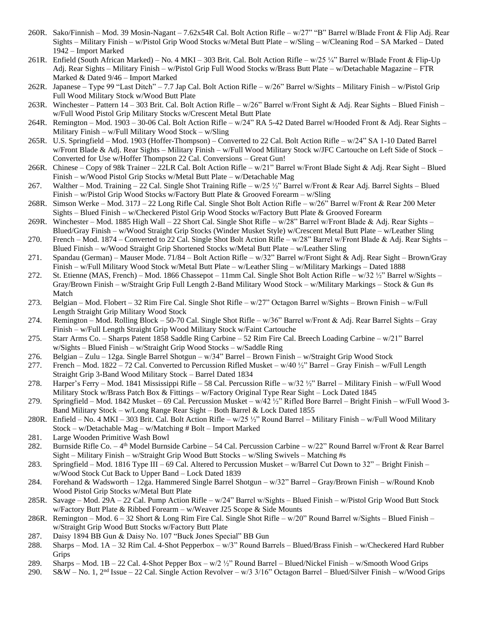- 260R. Sako/Finnish Mod. 39 Mosin-Nagant 7.62x54R Cal. Bolt Action Rifle w/27" "B" Barrel w/Blade Front & Flip Adj. Rear Sights – Military Finish – w/Pistol Grip Wood Stocks w/Metal Butt Plate – w/Sling – w/Cleaning Rod – SA Marked – Dated 1942 – Import Marked
- 261R. Enfield (South African Marked) No. 4 MKI 303 Brit. Cal. Bolt Action Rifle w/25 ¼" Barrel w/Blade Front & Flip-Up Adj. Rear Sights – Military Finish – w/Pistol Grip Full Wood Stocks w/Brass Butt Plate – w/Detachable Magazine – FTR Marked & Dated 9/46 – Import Marked
- 262R. Japanese Type 99 "Last Ditch" 7.7 Jap Cal. Bolt Action Rifle w/26" Barrel w/Sights Military Finish w/Pistol Grip Full Wood Military Stock w/Wood Butt Plate
- 263R. Winchester Pattern 14 303 Brit. Cal. Bolt Action Rifle w/26" Barrel w/Front Sight & Adj. Rear Sights Blued Finish w/Full Wood Pistol Grip Military Stocks w/Crescent Metal Butt Plate
- 264R. Remington Mod. 1903 30-06 Cal. Bolt Action Rifle w/24" RA 5-42 Dated Barrel w/Hooded Front & Adj. Rear Sights Military Finish – w/Full Military Wood Stock – w/Sling
- 265R. U.S. Springfield Mod. 1903 (Hoffer-Thompson) Converted to 22 Cal. Bolt Action Rifle w/24" SA 1-10 Dated Barrel w/Front Blade & Adj. Rear Sights – Military Finish – w/Full Wood Military Stock w/JFC Cartouche on Left Side of Stock – Converted for Use w/Hoffer Thompson 22 Cal. Conversions – Great Gun!
- 266R. Chinese Copy of 98k Trainer 22LR Cal. Bolt Action Rifle w/21" Barrel w/Front Blade Sight & Adj. Rear Sight Blued Finish – w/Wood Pistol Grip Stocks w/Metal Butt Plate – w/Detachable Mag
- 267. Walther Mod. Training 22 Cal. Single Shot Training Rifle w/25  $\frac{1}{2}$ " Barrel w/Front & Rear Adj. Barrel Sights Blued Finish – w/Pistol Grip Wood Stocks w/Factory Butt Plate & Grooved Forearm – w/Sling
- 268R. Simson Werke Mod. 317J 22 Long Rifle Cal. Single Shot Bolt Action Rifle w/26" Barrel w/Front & Rear 200 Meter Sights – Blued Finish – w/Checkered Pistol Grip Wood Stocks w/Factory Butt Plate & Grooved Forearm
- 269R. Winchester Mod. 1885 High Wall 22 Short Cal. Single Shot Rifle w/28" Barrel w/Front Blade & Adj. Rear Sights Blued/Gray Finish – w/Wood Straight Grip Stocks (Winder Musket Style) w/Crescent Metal Butt Plate – w/Leather Sling
- 270. French Mod. 1874 Converted to 22 Cal. Single Shot Bolt Action Rifle w/28" Barrel w/Front Blade & Adj. Rear Sights Blued Finish – w/Wood Straight Grip Shortened Stocks w/Metal Butt Plate – w/Leather Sling
- 271. Spandau (German) Mauser Mode. 71/84 Bolt Action Rifle w/32" Barrel w/Front Sight & Adj. Rear Sight Brown/Gray Finish – w/Full Military Wood Stock w/Metal Butt Plate – w/Leather Sling – w/Military Markings – Dated 1888
- 272. St. Etienne (MAS, French) Mod. 1866 Chassepot 11mm Cal. Single Shot Bolt Action Rifle w/32 ½" Barrel w/Sights Gray/Brown Finish – w/Straight Grip Full Length 2-Band Military Wood Stock – w/Military Markings – Stock & Gun #s Match
- 273. Belgian Mod. Flobert 32 Rim Fire Cal. Single Shot Rifle w/27" Octagon Barrel w/Sights Brown Finish w/Full Length Straight Grip Military Wood Stock
- 274. Remington Mod. Rolling Block 50-70 Cal. Single Shot Rifle w/36" Barrel w/Front & Adj. Rear Barrel Sights Gray Finish – w/Full Length Straight Grip Wood Military Stock w/Faint Cartouche
- 275. Starr Arms Co. Sharps Patent 1858 Saddle Ring Carbine 52 Rim Fire Cal. Breech Loading Carbine w/21" Barrel w/Sights – Blued Finish – w/Straight Grip Wood Stocks – w/Saddle Ring
- 276. Belgian Zulu 12ga. Single Barrel Shotgun w/34" Barrel Brown Finish w/Straight Grip Wood Stock
- 277. French Mod. 1822 72 Cal. Converted to Percussion Rifled Musket w/40  $\frac{1}{2}$ " Barrel Gray Finish w/Full Length Straight Grip 3-Band Wood Military Stock – Barrel Dated 1834
- 278. Harper's Ferry Mod. 1841 Mississippi Rifle 58 Cal. Percussion Rifle w/32 ½" Barrel Military Finish w/Full Wood Military Stock w/Brass Patch Box & Fittings – w/Factory Original Type Rear Sight – Lock Dated 1845
- 279. Springfield Mod. 1842 Musket 69 Cal. Percussion Musket w/42 ½" Rifled Bore Barrel Bright Finish w/Full Wood 3- Band Military Stock – w/Long Range Rear Sight – Both Barrel & Lock Dated 1855
- 280R. Enfield No. 4 MKI 303 Brit. Cal. Bolt Action Rifle w/25 ½" Round Barrel Military Finish w/Full Wood Military Stock – w/Detachable Mag – w/Matching # Bolt – Import Marked
- 281. Large Wooden Primitive Wash Bowl
- 282. Burnside Rifle Co. 4<sup>th</sup> Model Burnside Carbine 54 Cal. Percussion Carbine w/22" Round Barrel w/Front & Rear Barrel Sight – Military Finish – w/Straight Grip Wood Butt Stocks – w/Sling Swivels – Matching #s
- 283. Springfield Mod. 1816 Type III 69 Cal. Altered to Percussion Musket w/Barrel Cut Down to 32" Bright Finish w/Wood Stock Cut Back to Upper Band – Lock Dated 1839
- 284. Forehand & Wadsworth 12ga. Hammered Single Barrel Shotgun w/32" Barrel Gray/Brown Finish w/Round Knob Wood Pistol Grip Stocks w/Metal Butt Plate
- 285R. Savage Mod. 29A 22 Cal. Pump Action Rifle w/24" Barrel w/Sights Blued Finish w/Pistol Grip Wood Butt Stock w/Factory Butt Plate & Ribbed Forearm – w/Weaver J25 Scope & Side Mounts
- 286R. Remington Mod. 6 32 Short & Long Rim Fire Cal. Single Shot Rifle w/20" Round Barrel w/Sights Blued Finish w/Straight Grip Wood Butt Stocks w/Factory Butt Plate
- 287. Daisy 1894 BB Gun & Daisy No. 107 "Buck Jones Special" BB Gun
- 288. Sharps Mod. 1A 32 Rim Cal. 4-Shot Pepperbox w/3" Round Barrels Blued/Brass Finish w/Checkered Hard Rubber Grips
- 289. Sharps Mod. 1B 22 Cal. 4-Shot Pepper Box w/2 ½" Round Barrel Blued/Nickel Finish w/Smooth Wood Grips
- 290. S&W No. 1,  $2^{nd}$  Issue 22 Cal. Single Action Revolver w/3 3/16" Octagon Barrel Blued/Silver Finish w/Wood Grips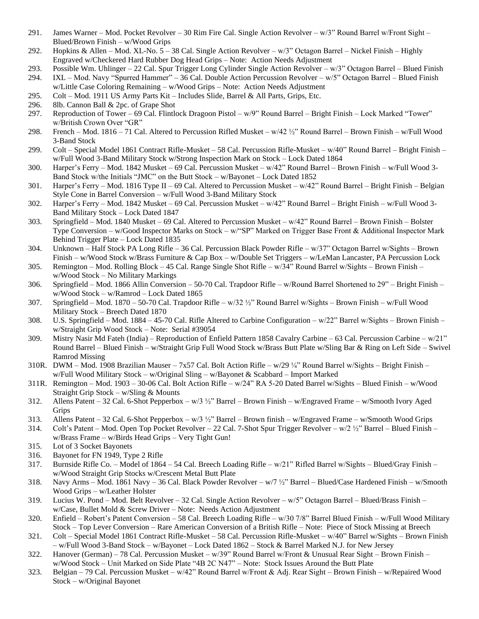- 291. James Warner Mod. Pocket Revolver 30 Rim Fire Cal. Single Action Revolver w/3" Round Barrel w/Front Sight Blued/Brown Finish – w/Wood Grips
- 292. Hopkins & Allen Mod. XL-No. 5 38 Cal. Single Action Revolver w/3" Octagon Barrel Nickel Finish Highly Engraved w/Checkered Hard Rubber Dog Head Grips – Note: Action Needs Adjustment
- 293. Possible Wm. Uhlinger 22 Cal. Spur Trigger Long Cylinder Single Action Revolver w/3" Octagon Barrel Blued Finish
- 294. IXL Mod. Navy "Spurred Hammer" 36 Cal. Double Action Percussion Revolver w/5" Octagon Barrel Blued Finish w/Little Case Coloring Remaining – w/Wood Grips – Note: Action Needs Adjustment
- 295. Colt Mod. 1911 US Army Parts Kit Includes Slide, Barrel & All Parts, Grips, Etc.
- 296. 8lb. Cannon Ball & 2pc. of Grape Shot
- 297. Reproduction of Tower 69 Cal. Flintlock Dragoon Pistol w/9" Round Barrel Bright Finish Lock Marked "Tower" w/British Crown Over "GR"
- 298. French Mod. 1816 71 Cal. Altered to Percussion Rifled Musket w/42 ½" Round Barrel Brown Finish w/Full Wood 3-Band Stock
- 299. Colt Special Model 1861 Contract Rifle-Musket 58 Cal. Percussion Rifle-Musket w/40" Round Barrel Bright Finish w/Full Wood 3-Band Military Stock w/Strong Inspection Mark on Stock – Lock Dated 1864
- 300. Harper's Ferry Mod. 1842 Musket 69 Cal. Percussion Musket w/42" Round Barrel Brown Finish w/Full Wood 3- Band Stock w/the Initials "JMC" on the Butt Stock – w/Bayonet – Lock Dated 1852
- 301. Harper's Ferry Mod. 1816 Type II 69 Cal. Altered to Percussion Musket w/42" Round Barrel Bright Finish Belgian Style Cone in Barrel Conversion – w/Full Wood 3-Band Military Stock
- 302. Harper's Ferry Mod. 1842 Musket 69 Cal. Percussion Musket w/42" Round Barrel Bright Finish w/Full Wood 3- Band Military Stock – Lock Dated 1847
- 303. Springfield Mod. 1840 Musket 69 Cal. Altered to Percussion Musket w/42" Round Barrel Brown Finish Bolster Type Conversion – w/Good Inspector Marks on Stock – w/"SP" Marked on Trigger Base Front & Additional Inspector Mark Behind Trigger Plate – Lock Dated 1835
- 304. Unknown Half Stock PA Long Rifle 36 Cal. Percussion Black Powder Rifle w/37" Octagon Barrel w/Sights Brown Finish – w/Wood Stock w/Brass Furniture & Cap Box – w/Double Set Triggers – w/LeMan Lancaster, PA Percussion Lock
- 305. Remington Mod. Rolling Block 45 Cal. Range Single Shot Rifle w/34" Round Barrel w/Sights Brown Finish w/Wood Stock – No Military Markings
- 306. Springfield Mod. 1866 Allin Conversion 50-70 Cal. Trapdoor Rifle w/Round Barrel Shortened to 29" Bright Finish w/Wood Stock – w/Ramrod – Lock Dated 1865
- 307. Springfield Mod. 1870 50-70 Cal. Trapdoor Rifle w/32 ½" Round Barrel w/Sights Brown Finish w/Full Wood Military Stock – Breech Dated 1870
- 308. U.S. Springfield Mod. 1884 45-70 Cal. Rifle Altered to Carbine Configuration w/22" Barrel w/Sights Brown Finish w/Straight Grip Wood Stock – Note: Serial #39054
- 309. Mistry Nasir Md Fateh (India) Reproduction of Enfield Pattern 1858 Cavalry Carbine 63 Cal. Percussion Carbine w/21" Round Barrel – Blued Finish – w/Straight Grip Full Wood Stock w/Brass Butt Plate w/Sling Bar & Ring on Left Side – Swivel Ramrod Missing
- 310R. DWM Mod. 1908 Brazilian Mauser 7x57 Cal. Bolt Action Rifle  $w/29\frac{1}{4}$ " Round Barrel w/Sights Bright Finish w/Full Wood Military Stock – w/Original Sling – w/Bayonet & Scabbard – Import Marked
- 311R. Remington Mod. 1903 30-06 Cal. Bolt Action Rifle w/24" RA 5-20 Dated Barrel w/Sights Blued Finish w/Wood Straight Grip Stock – w/Sling & Mounts
- 312. Allens Patent 32 Cal. 6-Shot Pepperbox w/3 ½" Barrel Brown Finish w/Engraved Frame w/Smooth Ivory Aged **Grips**
- 313. Allens Patent 32 Cal. 6-Shot Pepperbox w/3 ½" Barrel Brown finish w/Engraved Frame w/Smooth Wood Grips
- 314. Colt's Patent Mod. Open Top Pocket Revolver 22 Cal. 7-Shot Spur Trigger Revolver w/2 ½" Barrel Blued Finish w/Brass Frame – w/Birds Head Grips – Very Tight Gun!
- 315. Lot of 3 Socket Bayonets
- 316. Bayonet for FN 1949, Type 2 Rifle
- 317. Burnside Rifle Co. Model of 1864 54 Cal. Breech Loading Rifle w/21" Rifled Barrel w/Sights Blued/Gray Finish w/Wood Straight Grip Stocks w/Crescent Metal Butt Plate
- 318. Navy Arms Mod. 1861 Navy 36 Cal. Black Powder Revolver w/7 ½" Barrel Blued/Case Hardened Finish w/Smooth Wood Grips – w/Leather Holster
- 319. Lucius W. Pond Mod. Belt Revolver 32 Cal. Single Action Revolver  $w/5$ " Octagon Barrel Blued/Brass Finish w/Case, Bullet Mold & Screw Driver – Note: Needs Action Adjustment
- 320. Enfield Robert's Patent Conversion 58 Cal. Breech Loading Rifle w/30 7/8" Barrel Blued Finish w/Full Wood Military Stock – Top Lever Conversion – Rare American Conversion of a British Rifle – Note: Piece of Stock Missing at Breech
- 321. Colt Special Model 1861 Contract Rifle-Musket 58 Cal. Percussion Rifle-Musket w/40" Barrel w/Sights Brown Finish – w/Full Wood 3-Band Stock – w/Bayonet – Lock Dated 1862 – Stock & Barrel Marked N.J. for New Jersey
- 322. Hanover (German) 78 Cal. Percussion Musket w/39" Round Barrel w/Front & Unusual Rear Sight Brown Finish w/Wood Stock – Unit Marked on Side Plate "4B 2C N47" – Note: Stock Issues Around the Butt Plate
- 323. Belgian 79 Cal. Percussion Musket w/42" Round Barrel w/Front & Adj. Rear Sight Brown Finish w/Repaired Wood Stock – w/Original Bayonet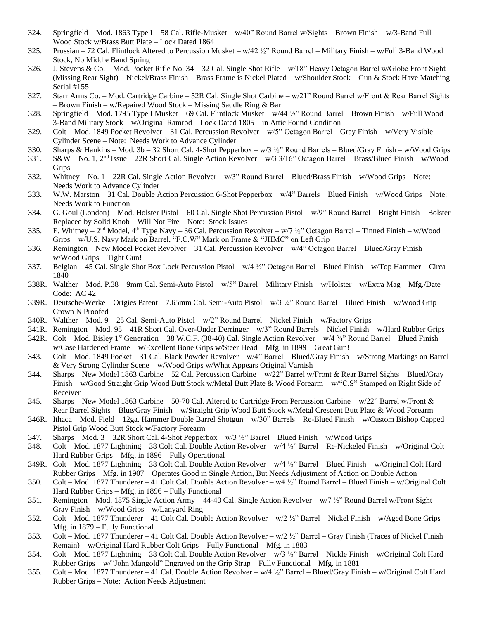- 324. Springfield Mod. 1863 Type I 58 Cal. Rifle-Musket w/40" Round Barrel w/Sights Brown Finish w/3-Band Full Wood Stock w/Brass Butt Plate – Lock Dated 1864
- 325. Prussian 72 Cal. Flintlock Altered to Percussion Musket w/42 ½" Round Barrel Military Finish w/Full 3-Band Wood Stock, No Middle Band Spring
- 326. J. Stevens & Co. Mod. Pocket Rifle No. 34 32 Cal. Single Shot Rifle w/18" Heavy Octagon Barrel w/Globe Front Sight (Missing Rear Sight) – Nickel/Brass Finish – Brass Frame is Nickel Plated – w/Shoulder Stock – Gun & Stock Have Matching Serial #155
- 327. Starr Arms Co. Mod. Cartridge Carbine 52R Cal. Single Shot Carbine w/21" Round Barrel w/Front & Rear Barrel Sights – Brown Finish – w/Repaired Wood Stock – Missing Saddle Ring & Bar
- 328. Springfield Mod. 1795 Type I Musket 69 Cal. Flintlock Musket w/44 ½" Round Barrel Brown Finish w/Full Wood 3-Band Military Stock – w/Original Ramrod – Lock Dated 1805 – in Attic Found Condition
- 329. Colt Mod. 1849 Pocket Revolver 31 Cal. Percussion Revolver w/5" Octagon Barrel Gray Finish w/Very Visible Cylinder Scene – Note: Needs Work to Advance Cylinder
- 330. Sharps & Hankins Mod. 3b 32 Short Cal. 4-Shot Pepperbox w/3 ½" Round Barrels Blued/Gray Finish w/Wood Grips
- 331. S&W No. 1, 2nd Issue 22R Short Cal. Single Action Revolver w/3 3/16" Octagon Barrel Brass/Blued Finish w/Wood Grips
- 332. Whitney No. 1 22R Cal. Single Action Revolver w/3" Round Barrel Blued/Brass Finish w/Wood Grips Note: Needs Work to Advance Cylinder
- 333. W.W. Marston 31 Cal. Double Action Percussion 6-Shot Pepperbox w/4" Barrels Blued Finish w/Wood Grips Note: Needs Work to Function
- 334. G. Goul (London) Mod. Holster Pistol 60 Cal. Single Shot Percussion Pistol w/9" Round Barrel Bright Finish Bolster Replaced by Solid Knob – Will Not Fire – Note: Stock Issues
- 335. E. Whitney  $2<sup>nd</sup>$  Model,  $4<sup>th</sup>$  Type Navy 36 Cal. Percussion Revolver w/7  $\frac{1}{2}$ " Octagon Barrel Tinned Finish w/Wood Grips – w/U.S. Navy Mark on Barrel, "F.C.W" Mark on Frame & "JHMC" on Left Grip
- 336. Remington New Model Pocket Revolver 31 Cal. Percussion Revolver w/4" Octagon Barrel Blued/Gray Finish w/Wood Grips – Tight Gun!
- 337. Belgian 45 Cal. Single Shot Box Lock Percussion Pistol w/4 ½" Octagon Barrel Blued Finish w/Top Hammer Circa 1840
- 338R. Walther Mod. P.38 9mm Cal. Semi-Auto Pistol w/5" Barrel Military Finish w/Holster w/Extra Mag Mfg./Date Code: AC 42
- 339R. Deutsche-Werke Ortgies Patent 7.65mm Cal. Semi-Auto Pistol w/3 ¼" Round Barrel Blued Finish w/Wood Grip Crown N Proofed
- 340R. Walther Mod. 9 25 Cal. Semi-Auto Pistol w/2" Round Barrel Nickel Finish w/Factory Grips
- 341R. Remington Mod. 95 41R Short Cal. Over-Under Derringer w/3" Round Barrels Nickel Finish w/Hard Rubber Grips
- 342R. Colt Mod. Bisley 1<sup>st</sup> Generation 38 W.C.F. (38-40) Cal. Single Action Revolver w/4  $\frac{3}{4}$ " Round Barrel Blued Finish w/Case Hardened Frame – w/Excellent Bone Grips w/Steer Head – Mfg. in 1899 – Great Gun!
- 343. Colt Mod. 1849 Pocket 31 Cal. Black Powder Revolver w/4" Barrel Blued/Gray Finish w/Strong Markings on Barrel & Very Strong Cylinder Scene – w/Wood Grips w/What Appears Original Varnish
- 344. Sharps New Model 1863 Carbine 52 Cal. Percussion Carbine w/22" Barrel w/Front & Rear Barrel Sights Blued/Gray Finish – w/Good Straight Grip Wood Butt Stock w/Metal Butt Plate & Wood Forearm – w/"C.S" Stamped on Right Side of Receiver
- 345. Sharps New Model 1863 Carbine 50-70 Cal. Altered to Cartridge From Percussion Carbine w/22" Barrel w/Front & Rear Barrel Sights – Blue/Gray Finish – w/Straight Grip Wood Butt Stock w/Metal Crescent Butt Plate & Wood Forearm
- 346R. Ithaca Mod. Field 12ga. Hammer Double Barrel Shotgun w/30" Barrels Re-Blued Finish w/Custom Bishop Capped Pistol Grip Wood Butt Stock w/Factory Forearm
- 347. Sharps Mod. 3 32R Short Cal. 4-Shot Pepperbox w/3 ½" Barrel Blued Finish w/Wood Grips
- 348. Colt Mod. 1877 Lightning 38 Colt Cal. Double Action Revolver w/4 ½" Barrel Re-Nickeled Finish w/Original Colt Hard Rubber Grips – Mfg. in 1896 – Fully Operational
- 349R. Colt Mod. 1877 Lightning 38 Colt Cal. Double Action Revolver w/4 ½" Barrel Blued Finish w/Original Colt Hard Rubber Grips – Mfg. in 1907 – Operates Good in Single Action, But Needs Adjustment of Action on Double Action
- 350. Colt Mod. 1877 Thunderer 41 Colt Cal. Double Action Revolver w4 ½" Round Barrel Blued Finish w/Original Colt Hard Rubber Grips – Mfg. in 1896 – Fully Functional
- 351. Remington Mod. 1875 Single Action Army 44-40 Cal. Single Action Revolver w/7 ½" Round Barrel w/Front Sight Gray Finish – w/Wood Grips – w/Lanyard Ring
- 352. Colt Mod. 1877 Thunderer 41 Colt Cal. Double Action Revolver w/2 ½" Barrel Nickel Finish w/Aged Bone Grips Mfg. in 1879 – Fully Functional
- 353. Colt Mod. 1877 Thunderer 41 Colt Cal. Double Action Revolver w/2 ½" Barrel Gray Finish (Traces of Nickel Finish Remain) – w/Original Hard Rubber Colt Grips – Fully Functional – Mfg. in 1883
- 354. Colt Mod. 1877 Lightning 38 Colt Cal. Double Action Revolver w/3 ½" Barrel Nickle Finish w/Original Colt Hard Rubber Grips – w/"John Mangold" Engraved on the Grip Strap – Fully Functional – Mfg. in 1881
- 355. Colt Mod. 1877 Thunderer 41 Cal. Double Action Revolver w/4 ½" Barrel Blued/Gray Finish w/Original Colt Hard Rubber Grips – Note: Action Needs Adjustment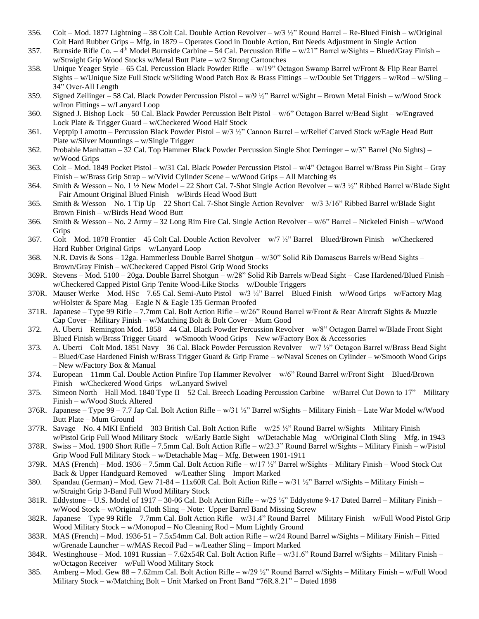- 356. Colt Mod. 1877 Lightning 38 Colt Cal. Double Action Revolver w/3  $\frac{1}{2}$ " Round Barrel Re-Blued Finish w/Original Colt Hard Rubber Grips – Mfg. in 1879 – Operates Good in Double Action, But Needs Adjustment in Single Action
- 357. Burnside Rifle Co. 4<sup>th</sup> Model Burnside Carbine 54 Cal. Percussion Rifle w/21" Barrel w/Sights Blued/Gray Finish w/Straight Grip Wood Stocks w/Metal Butt Plate – w/2 Strong Cartouches
- 358. Unique Yeager Style 65 Cal. Percussion Black Powder Rifle w/19" Octagon Swamp Barrel w/Front & Flip Rear Barrel Sights – w/Unique Size Full Stock w/Sliding Wood Patch Box & Brass Fittings – w/Double Set Triggers – w/Rod – w/Sling – 34" Over-All Length
- 359. Signed Zeilinger 58 Cal. Black Powder Percussion Pistol w/9 ½" Barrel w/Sight Brown Metal Finish w/Wood Stock w/Iron Fittings – w/Lanyard Loop
- 360. Signed J. Bishop Lock 50 Cal. Black Powder Percussion Belt Pistol w/6" Octagon Barrel w/Bead Sight w/Engraved Lock Plate & Trigger Guard – w/Checkered Wood Half Stock
- 361. Veptpip Lamottn Percussion Black Powder Pistol w/3 ½" Cannon Barrel w/Relief Carved Stock w/Eagle Head Butt Plate w/Silver Mountings – w/Single Trigger
- 362. Probable Manhattan 32 Cal. Top Hammer Black Powder Percussion Single Shot Derringer w/3" Barrel (No Sights) w/Wood Grips
- 363. Colt Mod. 1849 Pocket Pistol w/31 Cal. Black Powder Percussion Pistol w/4" Octagon Barrel w/Brass Pin Sight Gray Finish – w/Brass Grip Strap – w/Vivid Cylinder Scene – w/Wood Grips – All Matching #s
- 364. Smith & Wesson No. 1 ½ New Model 22 Short Cal. 7-Shot Single Action Revolver w/3 ½" Ribbed Barrel w/Blade Sight – Fair Amount Original Blued Finish – w/Birds Head Wood Butt
- 365. Smith & Wesson No. 1 Tip Up 22 Short Cal. 7-Shot Single Action Revolver w/3 3/16" Ribbed Barrel w/Blade Sight Brown Finish – w/Birds Head Wood Butt
- 366. Smith & Wesson No. 2 Army 32 Long Rim Fire Cal. Single Action Revolver w/6" Barrel Nickeled Finish w/Wood Grips
- 367. Colt Mod. 1878 Frontier 45 Colt Cal. Double Action Revolver w/7 ½" Barrel Blued/Brown Finish w/Checkered Hard Rubber Original Grips – w/Lanyard Loop
- 368. N.R. Davis & Sons 12ga. Hammerless Double Barrel Shotgun w/30" Solid Rib Damascus Barrels w/Bead Sights Brown/Gray Finish – w/Checkered Capped Pistol Grip Wood Stocks
- 369R. Stevens Mod. 5100 20ga. Double Barrel Shotgun w/28" Solid Rib Barrels w/Bead Sight Case Hardened/Blued Finish w/Checkered Capped Pistol Grip Tenite Wood-Like Stocks – w/Double Triggers
- 370R. Mauser Werke Mod. HSc 7.65 Cal. Semi-Auto Pistol w/3 ¼" Barrel Blued Finish w/Wood Grips w/Factory Mag w/Holster & Spare Mag – Eagle N & Eagle 135 German Proofed
- 371R. Japanese Type 99 Rifle 7.7mm Cal. Bolt Action Rifle w/26" Round Barrel w/Front & Rear Aircraft Sights & Muzzle Cap Cover – Military Finish – w/Matching Bolt & Bolt Cover – Mum Good
- 372. A. Uberti Remington Mod. 1858 44 Cal. Black Powder Percussion Revolver w/8" Octagon Barrel w/Blade Front Sight Blued Finish w/Brass Trigger Guard – w/Smooth Wood Grips – New w/Factory Box & Accessories
- 373. A. Uberti Colt Mod. 1851 Navy 36 Cal. Black Powder Percussion Revolver w/7 ½" Octagon Barrel w/Brass Bead Sight – Blued/Case Hardened Finish w/Brass Trigger Guard & Grip Frame – w/Naval Scenes on Cylinder – w/Smooth Wood Grips – New w/Factory Box & Manual
- 374. European 11mm Cal. Double Action Pinfire Top Hammer Revolver w/6" Round Barrel w/Front Sight Blued/Brown Finish – w/Checkered Wood Grips – w/Lanyard Swivel
- 375. Simeon North Hall Mod. 1840 Type II 52 Cal. Breech Loading Percussion Carbine w/Barrel Cut Down to  $17"$  Military Finish – w/Wood Stock Altered
- 376R. Japanese Type 99 7.7 Jap Cal. Bolt Action Rifle  $w/31$   $\frac{1}{2}$ " Barrel w/Sights Military Finish Late War Model w/Wood Butt Plate – Mum Ground
- 377R. Savage No. 4 MKI Enfield 303 British Cal. Bolt Action Rifle w/25 ½" Round Barrel w/Sights Military Finish w/Pistol Grip Full Wood Military Stock – w/Early Battle Sight – w/Detachable Mag – w/Original Cloth Sling – Mfg. in 1943
- 378R. Swiss Mod. 1900 Short Rifle 7.5mm Cal. Bolt Action Rifle w/23.3" Round Barrel w/Sights Military Finish w/Pistol Grip Wood Full Military Stock – w/Detachable Mag – Mfg. Between 1901-1911
- 379R. MAS (French) Mod. 1936 7.5mm Cal. Bolt Action Rifle w/17 ½" Barrel w/Sights Military Finish Wood Stock Cut Back & Upper Handguard Removed – w/Leather Sling – Import Marked
- 380. Spandau (German) Mod. Gew 71-84 11x60R Cal. Bolt Action Rifle w/31 ½" Barrel w/Sights Military Finish w/Straight Grip 3-Band Full Wood Military Stock
- 381R. Eddystone U.S. Model of 1917 30-06 Cal. Bolt Action Rifle w/25 ½" Eddystone 9-17 Dated Barrel Military Finish w/Wood Stock – w/Original Cloth Sling – Note: Upper Barrel Band Missing Screw
- 382R. Japanese Type 99 Rifle 7.7mm Cal. Bolt Action Rifle w/31.4" Round Barrel Military Finish w/Full Wood Pistol Grip Wood Military Stock – w/Monopod – No Cleaning Rod – Mum Lightly Ground
- 383R. MAS (French) Mod. 1936-51 7.5x54mm Cal. Bolt action Rifle w/24 Round Barrel w/Sights Military Finish Fitted w/Grenade Launcher – w/MAS Recoil Pad – w/Leather Sling – Import Marked
- 384R. Westinghouse Mod. 1891 Russian 7.62x54R Cal. Bolt Action Rifle w/31.6" Round Barrel w/Sights Military Finish w/Octagon Receiver – w/Full Wood Military Stock
- 385. Amberg Mod. Gew 88 7.62mm Cal. Bolt Action Rifle w/29 ½" Round Barrel w/Sights Military Finish w/Full Wood Military Stock – w/Matching Bolt – Unit Marked on Front Band "76R.8.21" – Dated 1898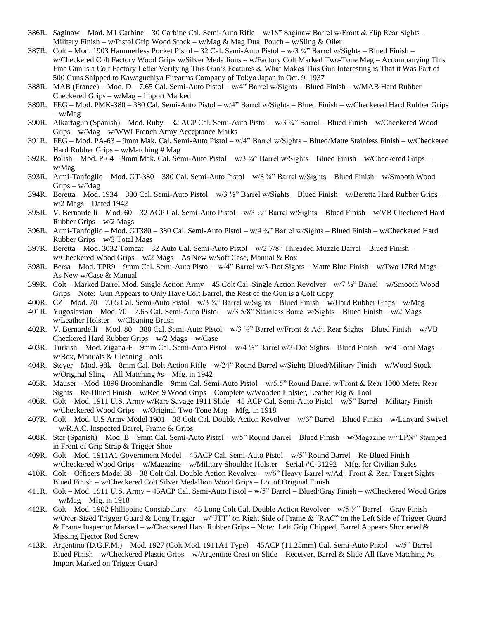- 386R. Saginaw Mod. M1 Carbine 30 Carbine Cal. Semi-Auto Rifle w/18" Saginaw Barrel w/Front & Flip Rear Sights Military Finish – w/Pistol Grip Wood Stock – w/Mag & Mag Dual Pouch – w/Sling & Oiler
- 387R. Colt Mod. 1903 Hammerless Pocket Pistol 32 Cal. Semi-Auto Pistol w/3 ¾" Barrel w/Sights Blued Finish w/Checkered Colt Factory Wood Grips w/Silver Medallions – w/Factory Colt Marked Two-Tone Mag – Accompanying This Fine Gun is a Colt Factory Letter Verifying This Gun's Features & What Makes This Gun Interesting is That it Was Part of 500 Guns Shipped to Kawaguchiya Firearms Company of Tokyo Japan in Oct. 9, 1937
- 388R. MAB (France) Mod. D 7.65 Cal. Semi-Auto Pistol w/4" Barrel w/Sights Blued Finish w/MAB Hard Rubber Checkered Grips – w/Mag – Import Marked
- 389R. FEG Mod. PMK-380 380 Cal. Semi-Auto Pistol w/4" Barrel w/Sights Blued Finish w/Checkered Hard Rubber Grips – w/Mag
- 390R. Alkartagun (Spanish) Mod. Ruby 32 ACP Cal. Semi-Auto Pistol w/3  $\frac{3}{4}$ " Barrel Blued Finish w/Checkered Wood Grips – w/Mag – w/WWI French Army Acceptance Marks
- 391R. FEG Mod. PA-63 9mm Mak. Cal. Semi-Auto Pistol w/4" Barrel w/Sights Blued/Matte Stainless Finish w/Checkered Hard Rubber Grips – w/Matching # Mag
- 392R. Polish Mod. P-64 9mm Mak. Cal. Semi-Auto Pistol w/3 ¼" Barrel w/Sights Blued Finish w/Checkered Grips w/Mag
- 393R. Armi-Tanfoglio Mod. GT-380 380 Cal. Semi-Auto Pistol w/3 ¾" Barrel w/Sights Blued Finish w/Smooth Wood Grips – w/Mag
- 394R. Beretta Mod. 1934 380 Cal. Semi-Auto Pistol w/3 ½" Barrel w/Sights Blued Finish w/Beretta Hard Rubber Grips w/2 Mags – Dated 1942
- 395R. V. Bernardelli Mod. 60 32 ACP Cal. Semi-Auto Pistol w/3 ½" Barrel w/Sights Blued Finish w/VB Checkered Hard Rubber Grips – w/2 Mags
- 396R. Armi-Tanfoglio Mod. GT380 380 Cal. Semi-Auto Pistol w/4 ¾" Barrel w/Sights Blued Finish w/Checkered Hard Rubber Grips – w/3 Total Mags
- 397R. Beretta Mod. 3032 Tomcat 32 Auto Cal. Semi-Auto Pistol w/2 7/8" Threaded Muzzle Barrel Blued Finish w/Checkered Wood Grips – w/2 Mags – As New w/Soft Case, Manual & Box
- 398R. Bersa Mod. TPR9 9mm Cal. Semi-Auto Pistol w/4" Barrel w/3-Dot Sights Matte Blue Finish w/Two 17Rd Mags As New w/Case & Manual
- 399R. Colt Marked Barrel Mod. Single Action Army 45 Colt Cal. Single Action Revolver w/7 ½" Barrel w/Smooth Wood Grips – Note: Gun Appears to Only Have Colt Barrel, the Rest of the Gun is a Colt Copy
- 400R. CZ Mod. 70 7.65 Cal. Semi-Auto Pistol w/3  $\frac{3}{4}$ " Barrel w/Sights Blued Finish w/Hard Rubber Grips w/Mag
- 401R. Yugoslavian Mod. 70 7.65 Cal. Semi-Auto Pistol w/3 5/8" Stainless Barrel w/Sights Blued Finish w/2 Mags w/Leather Holster – w/Cleaning Brush
- 402R. V. Bernardelli Mod. 80 380 Cal. Semi-Auto Pistol w/3 ½" Barrel w/Front & Adj. Rear Sights Blued Finish w/VB Checkered Hard Rubber Grips – w/2 Mags – w/Case
- 403R. Turkish Mod. Zigana-F 9mm Cal. Semi-Auto Pistol w/4 ½" Barrel w/3-Dot Sights Blued Finish w/4 Total Mags w/Box, Manuals & Cleaning Tools
- 404R. Steyer Mod. 98k 8mm Cal. Bolt Action Rifle w/24" Round Barrel w/Sights Blued/Military Finish w/Wood Stock w/Original Sling – All Matching #s – Mfg. in 1942
- 405R. Mauser Mod. 1896 Broomhandle 9mm Cal. Semi-Auto Pistol w/5.5" Round Barrel w/Front & Rear 1000 Meter Rear Sights – Re-Blued Finish – w/Red 9 Wood Grips – Complete w/Wooden Holster, Leather Rig & Tool
- 406R. Colt Mod. 1911 U.S. Army w/Rare Savage 1911 Slide 45 ACP Cal. Semi-Auto Pistol w/5" Barrel Military Finish w/Checkered Wood Grips – w/Original Two-Tone Mag – Mfg. in 1918
- 407R. Colt Mod. U.S Army Model 1901 38 Colt Cal. Double Action Revolver w/6" Barrel Blued Finish w/Lanyard Swivel – w/R.A.C. Inspected Barrel, Frame & Grips
- 408R. Star (Spanish) Mod. B 9mm Cal. Semi-Auto Pistol w/5" Round Barrel Blued Finish w/Magazine w/"LPN" Stamped in Front of Grip Strap & Trigger Shoe
- 409R. Colt Mod. 1911A1 Government Model 45ACP Cal. Semi-Auto Pistol w/5" Round Barrel Re-Blued Finish w/Checkered Wood Grips – w/Magazine – w/Military Shoulder Holster – Serial #C-31292 – Mfg. for Civilian Sales
- 410R. Colt Officers Model 38 38 Colt Cal. Double Action Revolver w/6" Heavy Barrel w/Adj. Front & Rear Target Sights Blued Finish – w/Checkered Colt Silver Medallion Wood Grips – Lot of Original Finish
- 411R. Colt Mod. 1911 U.S. Army 45ACP Cal. Semi-Auto Pistol w/5" Barrel Blued/Gray Finish w/Checkered Wood Grips  $-$  w/Mag  $-$  Mfg. in 1918
- 412R. Colt Mod. 1902 Philippine Constabulary 45 Long Colt Cal. Double Action Revolver w/5 ¼" Barrel Gray Finish w/Over-Sized Trigger Guard & Long Trigger – w/"JTT" on Right Side of Frame & "RAC" on the Left Side of Trigger Guard & Frame Inspector Marked – w/Checkered Hard Rubber Grips – Note: Left Grip Chipped, Barrel Appears Shortened & Missing Ejector Rod Screw
- 413R. Argentino (D.G.F.M.) Mod. 1927 (Colt Mod. 1911A1 Type) 45ACP (11.25mm) Cal. Semi-Auto Pistol w/5" Barrel Blued Finish – w/Checkered Plastic Grips – w/Argentine Crest on Slide – Receiver, Barrel & Slide All Have Matching #s – Import Marked on Trigger Guard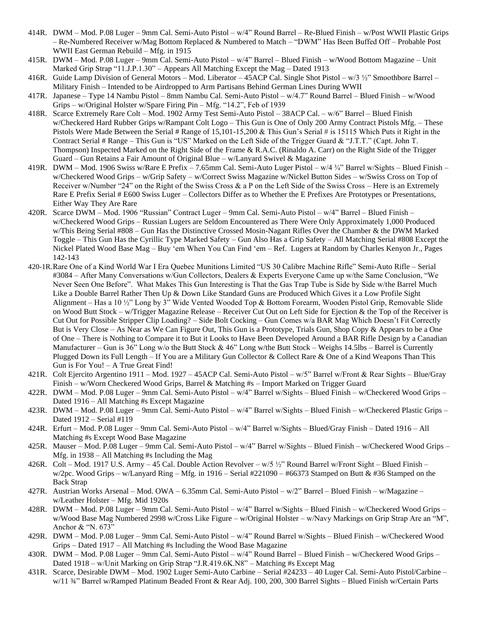- 414R. DWM Mod. P.08 Luger 9mm Cal. Semi-Auto Pistol w/4" Round Barrel Re-Blued Finish w/Post WWII Plastic Grips – Re-Numbered Receiver w/Mag Bottom Replaced & Numbered to Match – "DWM" Has Been Buffed Off – Probable Post WWII East German Rebuild – Mfg. in 1915
- 415R. DWM Mod. P.08 Luger 9mm Cal. Semi-Auto Pistol w/4" Barrel Blued Finish w/Wood Bottom Magazine Unit Marked Grip Strap "11.J.P.1.30" – Appears All Matching Except the Mag – Dated 1913
- 416R. Guide Lamp Division of General Motors Mod. Liberator 45ACP Cal. Single Shot Pistol w/3 ½" Smoothbore Barrel Military Finish – Intended to be Airdropped to Arm Partisans Behind German Lines During WWII
- 417R. Japanese Type 14 Nambu Pistol 8mm Nambu Cal. Semi-Auto Pistol w/4.7" Round Barrel Blued Finish w/Wood Grips – w/Original Holster w/Spare Firing Pin – Mfg. "14.2", Feb of 1939
- 418R. Scarce Extremely Rare Colt Mod. 1902 Army Test Semi-Auto Pistol 38ACP Cal. w/6" Barrel Blued Finish w/Checkered Hard Rubber Grips w/Rampant Colt Logo – This Gun is One of Only 200 Army Contract Pistols Mfg. – These Pistols Were Made Between the Serial # Range of 15,101-15,200 & This Gun's Serial # is 15115 Which Puts it Right in the Contract Serial # Range – This Gun is "US" Marked on the Left Side of the Trigger Guard & "J.T.T." (Capt. John T. Thompson) Inspected Marked on the Right Side of the Frame & R.A.C. (Rinaldo A. Carr) on the Right Side of the Trigger Guard – Gun Retains a Fair Amount of Original Blue – w/Lanyard Swivel & Magazine
- 419R. DWM Mod. 1906 Swiss w/Rare E Prefix 7.65mm Cal. Semi-Auto Luger Pistol w/4 ¾" Barrel w/Sights Blued Finish w/Checkered Wood Grips – w/Grip Safety – w/Correct Swiss Magazine w/Nickel Button Sides – w/Swiss Cross on Top of Receiver w/Number "24" on the Right of the Swiss Cross & a P on the Left Side of the Swiss Cross – Here is an Extremely Rare E Prefix Serial # E600 Swiss Luger – Collectors Differ as to Whether the E Prefixes Are Prototypes or Presentations, Either Way They Are Rare
- 420R. Scarce DWM Mod. 1906 "Russian" Contract Luger 9mm Cal. Semi-Auto Pistol w/4" Barrel Blued Finish w/Checkered Wood Grips – Russian Lugers are Seldom Encountered as There Were Only Approximately 1,000 Produced w/This Being Serial #808 – Gun Has the Distinctive Crossed Mosin-Nagant Rifles Over the Chamber & the DWM Marked Toggle – This Gun Has the Cyrillic Type Marked Safety – Gun Also Has a Grip Safety – All Matching Serial #808 Except the Nickel Plated Wood Base Mag – Buy 'em When You Can Find 'em – Ref. Lugers at Random by Charles Kenyon Jr., Pages 142-143
- 420-1R.Rare One of a Kind World War I Era Quebec Munitions Limited "US 30 Calibre Machine Rifle" Semi-Auto Rifle Serial #3084 – After Many Conversations w/Gun Collectors, Dealers & Experts Everyone Came up w/the Same Conclusion, "We Never Seen One Before". What Makes This Gun Interesting is That the Gas Trap Tube is Side by Side w/the Barrel Much Like a Double Barrel Rather Then Up & Down Like Standard Guns are Produced Which Gives it a Low Profile Sight Alignment – Has a 10 ½" Long by 3" Wide Vented Wooded Top & Bottom Forearm, Wooden Pistol Grip, Removable Slide on Wood Butt Stock – w/Trigger Magazine Release – Receiver Cut Out on Left Side for Ejection & the Top of the Receiver is Cut Out for Possible Stripper Clip Loading? – Side Bolt Cocking – Gun Comes w/a BAR Mag Which Doesn't Fit Correctly But is Very Close – As Near as We Can Figure Out, This Gun is a Prototype, Trials Gun, Shop Copy & Appears to be a One of One – There is Nothing to Compare it to But it Looks to Have Been Developed Around a BAR Rifle Design by a Canadian Manufacturer – Gun is 36" Long w/o the Butt Stock & 46" Long w/the Butt Stock – Weighs 14.5lbs – Barrel is Currently Plugged Down its Full Length – If You are a Military Gun Collector & Collect Rare & One of a Kind Weapons Than This Gun is For You! – A True Great Find!
- 421R. Colt Ejercito Argentino 1911 Mod. 1927 45ACP Cal. Semi-Auto Pistol w/5" Barrel w/Front & Rear Sights Blue/Gray Finish – w/Worn Checkered Wood Grips, Barrel & Matching #s – Import Marked on Trigger Guard
- 422R. DWM Mod. P.08 Luger 9mm Cal. Semi-Auto Pistol w/4" Barrel w/Sights Blued Finish w/Checkered Wood Grips Dated 1916 – All Matching #s Except Magazine
- 423R. DWM Mod. P.08 Luger 9mm Cal. Semi-Auto Pistol w/4" Barrel w/Sights Blued Finish w/Checkered Plastic Grips Dated 1912 – Serial #119
- 424R. Erfurt Mod. P.08 Luger 9mm Cal. Semi-Auto Pistol w/4" Barrel w/Sights Blued/Gray Finish Dated 1916 All Matching #s Except Wood Base Magazine
- 425R. Mauser Mod. P.08 Luger 9mm Cal. Semi-Auto Pistol w/4" Barrel w/Sights Blued Finish w/Checkered Wood Grips Mfg. in 1938 – All Matching #s Including the Mag
- 426R. Colt Mod. 1917 U.S. Army 45 Cal. Double Action Revolver w/5 ½" Round Barrel w/Front Sight Blued Finish w/2pc. Wood Grips – w/Lanyard Ring – Mfg. in 1916 – Serial #221090 – #66373 Stamped on Butt & #36 Stamped on the Back Strap
- 427R. Austrian Works Arsenal Mod. OWA 6.35mm Cal. Semi-Auto Pistol w/2" Barrel Blued Finish w/Magazine w/Leather Holster – Mfg. Mid 1920s
- 428R. DWM Mod. P.08 Luger 9mm Cal. Semi-Auto Pistol w/4" Barrel w/Sights Blued Finish w/Checkered Wood Grips w/Wood Base Mag Numbered 2998 w/Cross Like Figure – w/Original Holster – w/Navy Markings on Grip Strap Are an "M", Anchor & "N. 673"
- 429R. DWM Mod. P.08 Luger 9mm Cal. Semi-Auto Pistol w/4" Round Barrel w/Sights Blued Finish w/Checkered Wood Grips – Dated 1917 – All Matching #s Including the Wood Base Magazine
- 430R. DWM Mod. P.08 Luger 9mm Cal. Semi-Auto Pistol w/4" Round Barrel Blued Finish w/Checkered Wood Grips Dated 1918 – w/Unit Marking on Grip Strap "J.R.419.6K.N8" – Matching #s Except Mag
- 431R. Scarce, Desirable DWM Mod. 1902 Luger Semi-Auto Carbine Serial #24233 40 Luger Cal. Semi-Auto Pistol/Carbine w/11 ¾" Barrel w/Ramped Platinum Beaded Front & Rear Adj. 100, 200, 300 Barrel Sights – Blued Finish w/Certain Parts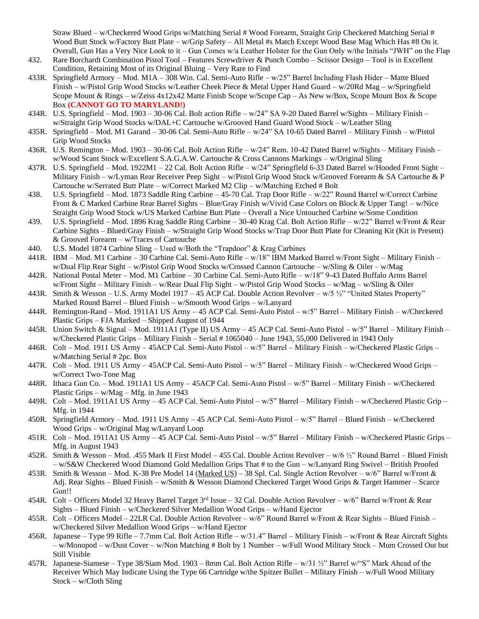Straw Blued – w/Checkered Wood Grips w/Matching Serial # Wood Forearm, Straight Grip Checkered Matching Serial # Wood Butt Stock w/Factory Butt Plate – w/Grip Safety – All Metal #s Match Except Wood Base Mag Which Has #8 On it. Overall, Gun Has a Very Nice Look to it – Gun Comes w/a Leather Holster for the Gun Only w/the Initials "JWH" on the Flap

- 432. Rare Borchardt Combination Pistol Tool Features Screwdriver & Punch Combo Scissor Design Tool is in Excellent Condition, Retaining Most of its Original Bluing – Very Rare to Find
- 433R. Springfield Armory Mod. M1A 308 Win. Cal. Semi-Auto Rifle w/25" Barrel Including Flash Hider Matte Blued Finish – w/Pistol Grip Wood Stocks w/Leather Cheek Piece & Metal Upper Hand Guard – w/20Rd Mag – w/Springfield Scope Mount & Rings – w/Zeiss 4x12x42 Matte Finish Scope w/Scope Cap – As New w/Box, Scope Mount Box & Scope Box **(CANNOT GO TO MARYLAND!)**
- 434R. U.S. Springfield Mod. 1903 30-06 Cal. Bolt action Rifle w/24" SA 9-20 Dated Barrel w/Sights Military Finish w/Straight Grip Wood Stocks w/DAL+C Cartouche w/Grooved Hand Guard Wood Stock – w/Leather Sling
- 435R. Springfield Mod. M1 Garand 30-06 Cal. Semi-Auto Rifle w/24" SA 10-65 Dated Barrel Military Finish w/Pistol Grip Wood Stocks
- 436R. U.S. Remington Mod. 1903 30-06 Cal. Bolt Action Rifle w/24" Rem. 10-42 Dated Barrel w/Sights Military Finish w/Wood Scant Stock w/Excellent S.A.G.A.W. Cartouche & Cross Cannons Markings – w/Original Sling
- 437R. U.S. Springfield Mod. 1922M1 22 Cal. Bolt Action Rifle w/24" Springfield 6-33 Dated Barrel w/Hooded Front Sight Military Finish – w/Lyman Rear Receiver Peep Sight – w/Pistol Grip Wood Stock w/Grooved Forearm & SA Cartouche & P Cartouche w/Serrated Butt Plate – w/Correct Marked M2 Clip – w/Matching Etched # Bolt
- 438. U.S. Springfield Mod. 1873 Saddle Ring Carbine 45-70 Cal. Trap Door Rifle w/22" Round Barrel w/Correct Carbine Front & C Marked Carbine Rear Barrel Sights – Blue/Gray Finish w/Vivid Case Colors on Block & Upper Tang! – w/Nice Straight Grip Wood Stock w/US Marked Carbine Butt Plate – Overall a Nice Untouched Carbine w/Some Condition
- 439. U.S. Springfield Mod. 1896 Krag Saddle Ring Carbine 30-40 Krag Cal. Bolt Action Rifle w/22" Barrel w/Front & Rear Carbine Sights – Blued/Gray Finish – w/Straight Grip Wood Stocks w/Trap Door Butt Plate for Cleaning Kit (Kit is Present) & Grooved Forearm – w/Traces of Cartouche
- 440. U.S. Model 1874 Carbine Sling Used w/Both the "Trapdoor" & Krag Carbines
- 441R. IBM Mod. M1 Carbine 30 Carbine Cal. Semi-Auto Rifle w/18" IBM Marked Barrel w/Front Sight Military Finish w/Dual Flip Rear Sight – w/Pistol Grip Wood Stocks w/Crossed Cannon Cartouche – w/Sling & Oiler – w/Mag
- 442R. National Postal Meter Mod. M1 Carbine 30 Carbine Cal. Semi-Auto Rifle w/18" 9-43 Dated Buffalo Arms Barrel w/Front Sight – Military Finish – w/Rear Dual Flip Sight – w/Pistol Grip Wood Stocks – w/Mag – w/Sling & Oiler
- 443R. Smith & Wesson U.S. Army Model 1917 45 ACP Cal. Double Action Revolver w/5 ½" "United States Property" Marked Round Barrel – Blued Finish – w/Smooth Wood Grips – w/Lanyard
- 444R. Remington-Rand Mod. 1911A1 US Army 45 ACP Cal. Semi-Auto Pistol w/5" Barrel Military Finish w/Checkered Plastic Grips – FJA Marked – Shipped August of 1944
- 445R. Union Switch & Signal Mod. 1911A1 (Type II) US Army 45 ACP Cal. Semi-Auto Pistol w/5" Barrel Military Finish w/Checkered Plastic Grips – Military Finish – Serial # 1065040 – June 1943, 55,000 Delivered in 1943 Only
- 446R. Colt Mod. 1911 US Army 45ACP Cal. Semi-Auto Pistol w/5" Barrel Military Finish w/Checkered Plastic Grips w/Matching Serial # 2pc. Box
- 447R. Colt Mod. 1911 US Army 45ACP Cal. Semi-Auto Pistol w/5" Barrel Military Finish w/Checkered Wood Grips w/Correct Two-Tone Mag
- 448R. Ithaca Gun Co. Mod. 1911A1 US Army 45ACP Cal. Semi-Auto Pistol w/5" Barrel Military Finish w/Checkered Plastic Grips – w/Mag – Mfg. in June 1943
- 449R. Colt Mod. 1911A1 US Army 45 ACP Cal. Semi-Auto Pistol w/5" Barrel Military Finish w/Checkered Plastic Grip Mfg. in 1944
- 450R. Springfield Armory Mod. 1911 US Army 45 ACP Cal. Semi-Auto Pistol w/5" Barrel Blued Finish w/Checkered Wood Grips – w/Original Mag w/Lanyard Loop
- 451R. Colt Mod. 1911A1 US Army 45 ACP Cal. Semi-Auto Pistol w/5" Barrel Military Finish w/Checkered Plastic Grips Mfg. in August 1943
- 452R. Smith & Wesson Mod. .455 Mark II First Model 455 Cal. Double Action Revolver w/6 ½" Round Barrel Blued Finish – w/S&W Checkered Wood Diamond Gold Medallion Grips That # to the Gun – w/Lanyard Ring Swivel – British Proofed
- 453R. Smith & Wesson Mod. K-38 Pre Model 14 (Marked US) 38 Spl. Cal. Single Action Revolver w/6" Barrel w/Front & Adj. Rear Sights – Blued Finish – w/Smith & Wesson Diamond Checkered Target Wood Grips & Target Hammer – Scarce Gun!!
- 454R. Colt Officers Model 32 Heavy Barrel Target 3rd Issue 32 Cal. Double Action Revolver w/6" Barrel w/Front & Rear Sights – Blued Finish – w/Checkered Silver Medallion Wood Grips – w/Hand Ejector
- 455R. Colt Officers Model 22LR Cal. Double Action Revolver w/6" Round Barrel w/Front & Rear Sights Blued Finish w/Checkered Silver Medallion Wood Grips – w/Hand Ejector
- 456R. Japanese Type 99 Rifle 7.7mm Cal. Bolt Action Rifle w/31.4" Barrel Military Finish w/Front & Rear Aircraft Sights – w/Monopod – w/Dust Cover – w/Non Matching # Bolt by 1 Number – w/Full Wood Military Stock – Mum Crossed Out but Still Visible
- 457R. Japanese-Siamese Type 38/Siam Mod. 1903 8mm Cal. Bolt Action Rifle w/31 ½" Barrel w/"S" Mark Ahead of the Receiver Which May Indicate Using the Type 66 Cartridge w/the Spitzer Bullet – Military Finish – w/Full Wood Military Stock – w/Cloth Sling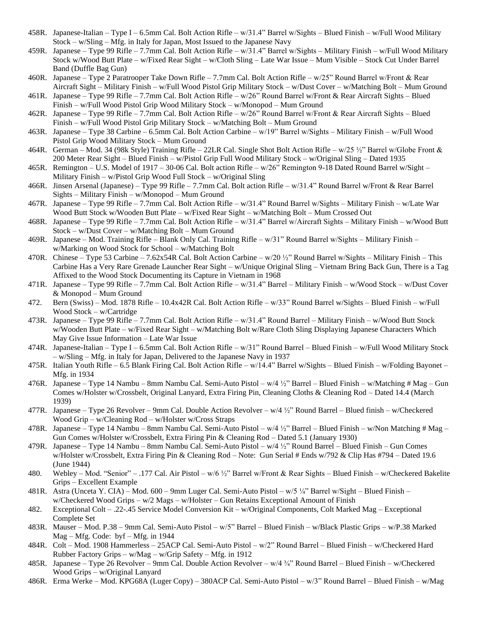- 458R. Japanese-Italian Type I 6.5mm Cal. Bolt Action Rifle w/31.4" Barrel w/Sights Blued Finish w/Full Wood Military Stock – w/Sling – Mfg. in Italy for Japan, Most Issued to the Japanese Navy
- 459R. Japanese Type 99 Rifle 7.7mm Cal. Bolt Action Rifle w/31.4" Barrel w/Sights Military Finish w/Full Wood Military Stock w/Wood Butt Plate – w/Fixed Rear Sight – w/Cloth Sling – Late War Issue – Mum Visible – Stock Cut Under Barrel Band (Duffle Bag Gun)
- 460R. Japanese Type 2 Paratrooper Take Down Rifle 7.7mm Cal. Bolt Action Rifle w/25" Round Barrel w/Front & Rear Aircraft Sight – Military Finish – w/Full Wood Pistol Grip Military Stock – w/Dust Cover – w/Matching Bolt – Mum Ground
- 461R. Japanese Type 99 Rifle 7.7mm Cal. Bolt Action Rifle w/26" Round Barrel w/Front & Rear Aircraft Sights Blued Finish – w/Full Wood Pistol Grip Wood Military Stock – w/Monopod – Mum Ground
- 462R. Japanese Type 99 Rifle 7.7mm Cal. Bolt Action Rifle w/26" Round Barrel w/Front & Rear Aircraft Sights Blued Finish – w/Full Wood Pistol Grip Military Stock – w/Matching Bolt – Mum Ground
- 463R. Japanese Type 38 Carbine 6.5mm Cal. Bolt Action Carbine w/19" Barrel w/Sights Military Finish w/Full Wood Pistol Grip Wood Military Stock – Mum Ground
- 464R. German Mod. 34 (98k Style) Training Rifle 22LR Cal. Single Shot Bolt Action Rifle w/25 ½" Barrel w/Globe Front & 200 Meter Rear Sight – Blued Finish – w/Pistol Grip Full Wood Military Stock – w/Original Sling – Dated 1935
- 465R. Remington U.S. Model of 1917 30-06 Cal. Bolt action Rifle w/26" Remington 9-18 Dated Round Barrel w/Sight Military Finish – w/Pistol Grip Wood Full Stock – w/Original Sling
- 466R. Jinsen Arsenal (Japanese) Type 99 Rifle 7.7mm Cal. Bolt action Rifle w/31.4" Round Barrel w/Front & Rear Barrel Sights – Military Finish – w/Monopod – Mum Ground
- 467R. Japanese Type 99 Rifle 7.7mm Cal. Bolt Action Rifle w/31.4" Round Barrel w/Sights Military Finish w/Late War Wood Butt Stock w/Wooden Butt Plate – w/Fixed Rear Sight – w/Matching Bolt – Mum Crossed Out
- 468R. Japanese Type 99 Rifle 7.7mm Cal. Bolt Action Rifle w/31.4" Barrel w/Aircraft Sights Military Finish w/Wood Butt Stock – w/Dust Cover – w/Matching Bolt – Mum Ground
- 469R. Japanese Mod. Training Rifle Blank Only Cal. Training Rifle w/31" Round Barrel w/Sights Military Finish w/Marking on Wood Stock for School – w/Matching Bolt
- 470R. Chinese Type 53 Carbine 7.62x54R Cal. Bolt Action Carbine w/20 ½" Round Barrel w/Sights Military Finish This Carbine Has a Very Rare Grenade Launcher Rear Sight – w/Unique Original Sling – Vietnam Bring Back Gun, There is a Tag Affixed to the Wood Stock Documenting its Capture in Vietnam in 1968
- 471R. Japanese Type 99 Rifle 7.7mm Cal. Bolt Action Rifle w/31.4" Barrel Military Finish w/Wood Stock w/Dust Cover & Monopod – Mum Ground
- 472. Bern (Swiss) Mod. 1878 Rifle 10.4x42R Cal. Bolt Action Rifle w/33" Round Barrel w/Sights Blued Finish w/Full Wood Stock – w/Cartridge
- 473R. Japanese Type 99 Rifle 7.7mm Cal. Bolt Action Rifle w/31.4" Round Barrel Military Finish w/Wood Butt Stock w/Wooden Butt Plate – w/Fixed Rear Sight – w/Matching Bolt w/Rare Cloth Sling Displaying Japanese Characters Which May Give Issue Information – Late War Issue
- 474R. Japanese-Italian Type I 6.5mm Cal. Bolt Action Rifle w/31" Round Barrel Blued Finish w/Full Wood Military Stock – w/Sling – Mfg. in Italy for Japan, Delivered to the Japanese Navy in 1937
- 475R. Italian Youth Rifle 6.5 Blank Firing Cal. Bolt Action Rifle w/14.4" Barrel w/Sights Blued Finish w/Folding Bayonet Mfg. in 1934
- 476R. Japanese Type 14 Nambu 8mm Nambu Cal. Semi-Auto Pistol w/4 ½" Barrel Blued Finish w/Matching # Mag Gun Comes w/Holster w/Crossbelt, Original Lanyard, Extra Firing Pin, Cleaning Cloths & Cleaning Rod – Dated 14.4 (March 1939)
- 477R. Japanese Type 26 Revolver 9mm Cal. Double Action Revolver w/4 ½" Round Barrel Blued finish w/Checkered Wood Grip – w/Cleaning Rod – w/Holster w/Cross Straps
- 478R. Japanese Type 14 Nambu 8mm Nambu Cal. Semi-Auto Pistol w/4 ½" Barrel Blued Finish w/Non Matching # Mag Gun Comes w/Holster w/Crossbelt, Extra Firing Pin & Cleaning Rod – Dated 5.1 (January 1930)
- 479R. Japanese Type 14 Nambu 8mm Nambu Cal. Semi-Auto Pistol w/4 ½" Round Barrel Blued Finish Gun Comes w/Holster w/Crossbelt, Extra Firing Pin & Cleaning Rod – Note: Gun Serial # Ends w/792 & Clip Has #794 – Dated 19.6 (June 1944)
- 480. Webley Mod. "Senior" .177 Cal. Air Pistol w/6 ½" Barrel w/Front & Rear Sights Blued Finish w/Checkered Bakelite Grips – Excellent Example
- 481R. Astra (Unceta Y. CIA) Mod. 600 9mm Luger Cal. Semi-Auto Pistol w/5 ¼" Barrel w/Sight Blued Finish w/Checkered Wood Grips – w/2 Mags – w/Holster – Gun Retains Exceptional Amount of Finish
- 482. Exceptional Colt .22-.45 Service Model Conversion Kit w/Original Components, Colt Marked Mag Exceptional Complete Set
- 483R. Mauser Mod. P.38 9mm Cal. Semi-Auto Pistol w/5" Barrel Blued Finish w/Black Plastic Grips w/P.38 Marked  $Mag - Mfg. Code: byf - Mfg. in 1944$
- 484R. Colt Mod. 1908 Hammerless 25ACP Cal. Semi-Auto Pistol w/2" Round Barrel Blued Finish w/Checkered Hard Rubber Factory Grips – w/Mag – w/Grip Safety – Mfg. in 1912
- 485R. Japanese Type 26 Revolver 9mm Cal. Double Action Revolver w/4 ¾" Round Barrel Blued Finish w/Checkered Wood Grips – w/Original Lanyard
- 486R. Erma Werke Mod. KPG68A (Luger Copy) 380ACP Cal. Semi-Auto Pistol w/3" Round Barrel Blued Finish w/Mag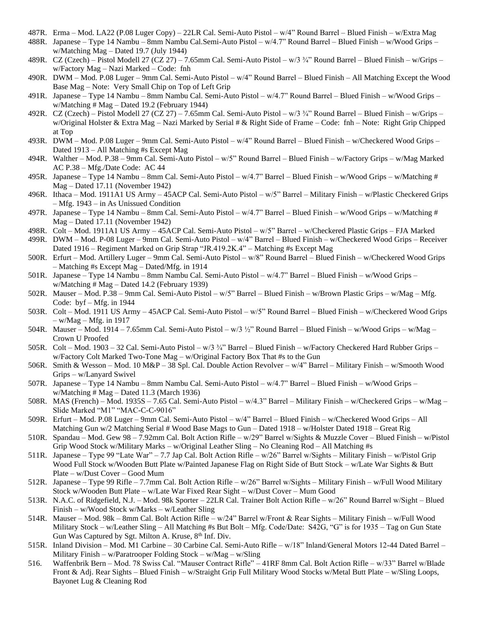- 487R. Erma Mod. LA22 (P.08 Luger Copy) 22LR Cal. Semi-Auto Pistol w/4" Round Barrel Blued Finish w/Extra Mag
- 488R. Japanese Type 14 Nambu 8mm Nambu Cal.Semi-Auto Pistol w/4.7" Round Barrel Blued Finish w/Wood Grips w/Matching Mag – Dated 19.7 (July 1944)
- 489R. CZ (Czech) Pistol Modell 27 (CZ 27) 7.65mm Cal. Semi-Auto Pistol w/3 ¾" Round Barrel Blued Finish w/Grips w/Factory Mag – Nazi Marked – Code: fnh
- 490R. DWM Mod. P.08 Luger 9mm Cal. Semi-Auto Pistol w/4" Round Barrel Blued Finish All Matching Except the Wood Base Mag – Note: Very Small Chip on Top of Left Grip
- 491R. Japanese Type 14 Nambu 8mm Nambu Cal. Semi-Auto Pistol w/4.7" Round Barrel Blued Finish w/Wood Grips w/Matching # Mag – Dated 19.2 (February 1944)
- 492R. CZ (Czech) Pistol Modell 27 (CZ 27) 7.65mm Cal. Semi-Auto Pistol w/3 ¾" Round Barrel Blued Finish w/Grips w/Original Holster & Extra Mag – Nazi Marked by Serial # & Right Side of Frame – Code: fnh – Note: Right Grip Chipped at Top
- 493R. DWM Mod. P.08 Luger 9mm Cal. Semi-Auto Pistol w/4" Round Barrel Blued Finish w/Checkered Wood Grips Dated 1913 – All Matching #s Except Mag
- 494R. Walther Mod. P.38 9mm Cal. Semi-Auto Pistol w/5" Round Barrel Blued Finish w/Factory Grips w/Mag Marked AC P.38 – Mfg./Date Code: AC 44
- 495R. Japanese Type 14 Nambu 8mm Cal. Semi-Auto Pistol w/4.7" Barrel Blued Finish w/Wood Grips w/Matching # Mag – Dated 17.11 (November 1942)
- 496R. Ithaca Mod. 1911A1 US Army 45ACP Cal. Semi-Auto Pistol w/5" Barrel Military Finish w/Plastic Checkered Grips – Mfg. 1943 – in As Unissued Condition
- 497R. Japanese Type 14 Nambu 8mm Cal. Semi-Auto Pistol w/4.7" Barrel Blued Finish w/Wood Grips w/Matching # Mag – Dated 17.11 (November 1942)
- 498R. Colt Mod. 1911A1 US Army 45ACP Cal. Semi-Auto Pistol w/5" Barrel w/Checkered Plastic Grips FJA Marked
- 499R. DWM Mod. P-08 Luger 9mm Cal. Semi-Auto Pistol w/4" Barrel Blued Finish w/Checkered Wood Grips Receiver Dated 1916 – Regiment Marked on Grip Strap "JR.419.2K.4" – Matching #s Except Mag
- 500R. Erfurt Mod. Artillery Luger 9mm Cal. Semi-Auto Pistol w/8" Round Barrel Blued Finish w/Checkered Wood Grips – Matching #s Except Mag – Dated/Mfg. in 1914
- 501R. Japanese Type 14 Nambu 8mm Nambu Cal. Semi-Auto Pistol w/4.7" Barrel Blued Finish w/Wood Grips w/Matching # Mag – Dated 14.2 (February 1939)
- 502R. Mauser Mod. P.38 9mm Cal. Semi-Auto Pistol w/5" Barrel Blued Finish w/Brown Plastic Grips w/Mag Mfg. Code:  $byf - Mfg$ . in 1944
- 503R. Colt Mod. 1911 US Army 45ACP Cal. Semi-Auto Pistol w/5" Round Barrel Blued Finish w/Checkered Wood Grips  $-$  w/Mag  $-$  Mfg. in 1917
- 504R. Mauser Mod. 1914 7.65mm Cal. Semi-Auto Pistol w/3 ½" Round Barrel Blued Finish w/Wood Grips w/Mag Crown U Proofed
- 505R. Colt Mod. 1903 32 Cal. Semi-Auto Pistol w/3 ¾" Barrel Blued Finish w/Factory Checkered Hard Rubber Grips w/Factory Colt Marked Two-Tone Mag – w/Original Factory Box That #s to the Gun
- 506R. Smith & Wesson Mod. 10 M&P 38 Spl. Cal. Double Action Revolver w/4" Barrel Military Finish w/Smooth Wood Grips – w/Lanyard Swivel
- 507R. Japanese Type 14 Nambu 8mm Nambu Cal. Semi-Auto Pistol w/4.7" Barrel Blued Finish w/Wood Grips w/Matching # Mag – Dated 11.3 (March 1936)
- 508R. MAS (French) Mod. 1935S 7.65 Cal. Semi-Auto Pistol w/4.3" Barrel Military Finish w/Checkered Grips w/Mag Slide Marked "M1" "MAC-C-C-9016"
- 509R. Erfurt Mod. P.08 Luger 9mm Cal. Semi-Auto Pistol w/4" Barrel Blued Finish w/Checkered Wood Grips All Matching Gun w/2 Matching Serial # Wood Base Mags to Gun – Dated 1918 – w/Holster Dated 1918 – Great Rig
- 510R. Spandau Mod. Gew 98 7.92mm Cal. Bolt Action Rifle w/29" Barrel w/Sights & Muzzle Cover Blued Finish w/Pistol Grip Wood Stock w/Military Marks – w/Original Leather Sling – No Cleaning Rod – All Matching #s
- 511R. Japanese Type 99 "Late War" 7.7 Jap Cal. Bolt Action Rifle w/26" Barrel w/Sights Military Finish w/Pistol Grip Wood Full Stock w/Wooden Butt Plate w/Painted Japanese Flag on Right Side of Butt Stock – w/Late War Sights & Butt Plate – w/Dust Cover – Good Mum
- 512R. Japanese Type 99 Rifle 7.7mm Cal. Bolt Action Rifle w/26" Barrel w/Sights Military Finish w/Full Wood Military Stock w/Wooden Butt Plate – w/Late War Fixed Rear Sight – w/Dust Cover – Mum Good
- 513R. N.A.C. of Ridgefield, N.J. Mod. 98k Sporter 22LR Cal. Trainer Bolt Action Rifle w/26" Round Barrel w/Sight Blued Finish – w/Wood Stock w/Marks – w/Leather Sling
- 514R. Mauser Mod. 98k 8mm Cal. Bolt Action Rifle w/24" Barrel w/Front & Rear Sights Military Finish w/Full Wood Military Stock – w/Leather Sling – All Matching #s But Bolt – Mfg. Code/Date: S42G, "G" is for 1935 – Tag on Gun State Gun Was Captured by Sgt. Milton A. Kruse, 8<sup>th</sup> Inf. Div.
- 515R. Inland Division Mod. M1 Carbine 30 Carbine Cal. Semi-Auto Rifle w/18" Inland/General Motors 12-44 Dated Barrel Military Finish – w/Paratrooper Folding Stock – w/Mag – w/Sling
- 516. Waffenbrik Bern Mod. 78 Swiss Cal. "Mauser Contract Rifle" 41RF 8mm Cal. Bolt Action Rifle w/33" Barrel w/Blade Front & Adj. Rear Sights – Blued Finish – w/Straight Grip Full Military Wood Stocks w/Metal Butt Plate – w/Sling Loops, Bayonet Lug & Cleaning Rod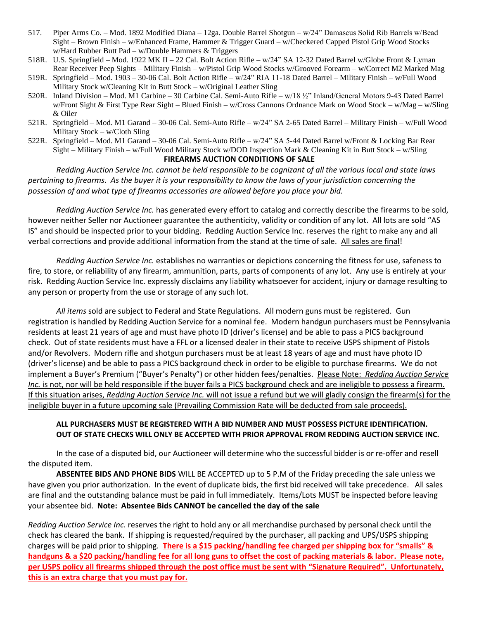- 517. Piper Arms Co. Mod. 1892 Modified Diana 12ga. Double Barrel Shotgun w/24" Damascus Solid Rib Barrels w/Bead Sight – Brown Finish – w/Enhanced Frame, Hammer & Trigger Guard – w/Checkered Capped Pistol Grip Wood Stocks w/Hard Rubber Butt Pad – w/Double Hammers & Triggers
- 518R. U.S. Springfield Mod. 1922 MK II 22 Cal. Bolt Action Rifle w/24" SA 12-32 Dated Barrel w/Globe Front & Lyman Rear Receiver Peep Sights – Military Finish – w/Pistol Grip Wood Stocks w/Grooved Forearm – w/Correct M2 Marked Mag
- 519R. Springfield Mod. 1903 30-06 Cal. Bolt Action Rifle w/24" RIA 11-18 Dated Barrel Military Finish w/Full Wood Military Stock w/Cleaning Kit in Butt Stock – w/Original Leather Sling
- 520R. Inland Division Mod. M1 Carbine 30 Carbine Cal. Semi-Auto Rifle w/18 ½" Inland/General Motors 9-43 Dated Barrel w/Front Sight & First Type Rear Sight – Blued Finish – w/Cross Cannons Ordnance Mark on Wood Stock – w/Mag – w/Sling & Oiler
- 521R. Springfield Mod. M1 Garand 30-06 Cal. Semi-Auto Rifle w/24" SA 2-65 Dated Barrel Military Finish w/Full Wood Military Stock – w/Cloth Sling
- 522R. Springfield Mod. M1 Garand 30-06 Cal. Semi-Auto Rifle w/24" SA 5-44 Dated Barrel w/Front & Locking Bar Rear Sight – Military Finish – w/Full Wood Military Stock w/DOD Inspection Mark & Cleaning Kit in Butt Stock – w/Sling

#### **FIREARMS AUCTION CONDITIONS OF SALE**

*Redding Auction Service Inc. cannot be held responsible to be cognizant of all the various local and state laws pertaining to firearms. As the buyer it is your responsibility to know the laws of your jurisdiction concerning the possession of and what type of firearms accessories are allowed before you place your bid.*

*Redding Auction Service Inc.* has generated every effort to catalog and correctly describe the firearms to be sold, however neither Seller nor Auctioneer guarantee the authenticity, validity or condition of any lot. All lots are sold "AS IS" and should be inspected prior to your bidding. Redding Auction Service Inc. reserves the right to make any and all verbal corrections and provide additional information from the stand at the time of sale. All sales are final!

*Redding Auction Service Inc.* establishes no warranties or depictions concerning the fitness for use, safeness to fire, to store, or reliability of any firearm, ammunition, parts, parts of components of any lot. Any use is entirely at your risk. Redding Auction Service Inc. expressly disclaims any liability whatsoever for accident, injury or damage resulting to any person or property from the use or storage of any such lot.

*All items* sold are subject to Federal and State Regulations. All modern guns must be registered. Gun registration is handled by Redding Auction Service for a nominal fee. Modern handgun purchasers must be Pennsylvania residents at least 21 years of age and must have photo ID (driver's license) and be able to pass a PICS background check. Out of state residents must have a FFL or a licensed dealer in their state to receive USPS shipment of Pistols and/or Revolvers. Modern rifle and shotgun purchasers must be at least 18 years of age and must have photo ID (driver's license) and be able to pass a PICS background check in order to be eligible to purchase firearms. We do not implement a Buyer's Premium ("Buyer's Penalty") or other hidden fees/penalties. Please Note: *Redding Auction Service Inc.* is not, nor will be held responsible if the buyer fails a PICS background check and are ineligible to possess a firearm. If this situation arises, *Redding Auction Service Inc.* will not issue a refund but we will gladly consign the firearm(s) for the ineligible buyer in a future upcoming sale (Prevailing Commission Rate will be deducted from sale proceeds).

#### **ALL PURCHASERS MUST BE REGISTERED WITH A BID NUMBER AND MUST POSSESS PICTURE IDENTIFICATION. OUT OF STATE CHECKS WILL ONLY BE ACCEPTED WITH PRIOR APPROVAL FROM REDDING AUCTION SERVICE INC.**

In the case of a disputed bid, our Auctioneer will determine who the successful bidder is or re-offer and resell the disputed item.

**ABSENTEE BIDS AND PHONE BIDS** WILL BE ACCEPTED up to 5 P.M of the Friday preceding the sale unless we have given you prior authorization. In the event of duplicate bids, the first bid received will take precedence. All sales are final and the outstanding balance must be paid in full immediately. Items/Lots MUST be inspected before leaving your absentee bid. **Note: Absentee Bids CANNOT be cancelled the day of the sale**

*Redding Auction Service Inc.* reserves the right to hold any or all merchandise purchased by personal check until the check has cleared the bank. If shipping is requested/required by the purchaser, all packing and UPS/USPS shipping charges will be paid prior to shipping. **There is a \$15 packing/handling fee charged per shipping box for "smalls" & handguns & a \$20 packing/handling fee for all long guns to offset the cost of packing materials & labor. Please note, per USPS policy all firearms shipped through the post office must be sent with "Signature Required". Unfortunately, this is an extra charge that you must pay for.**